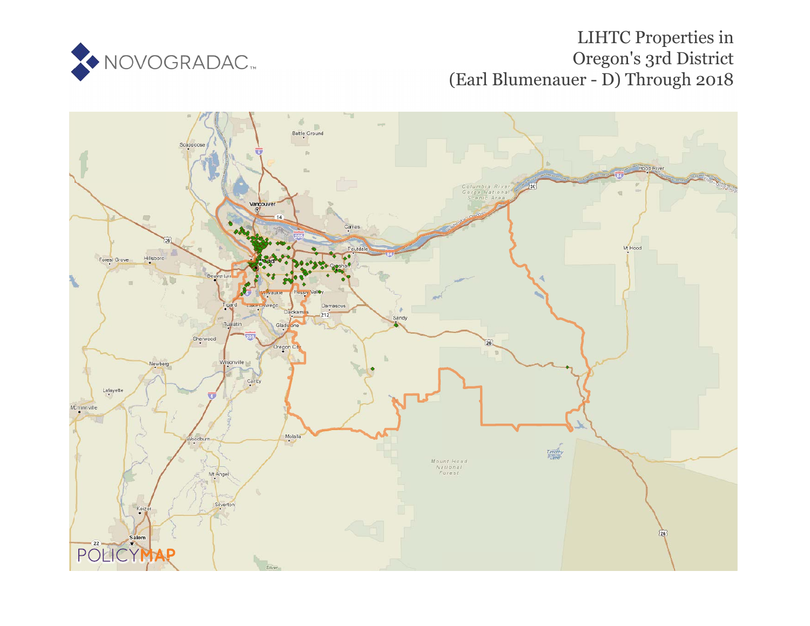

# LIHTC Properties in Oregon's 3rd District (Earl Blumenauer - D) Through 2018

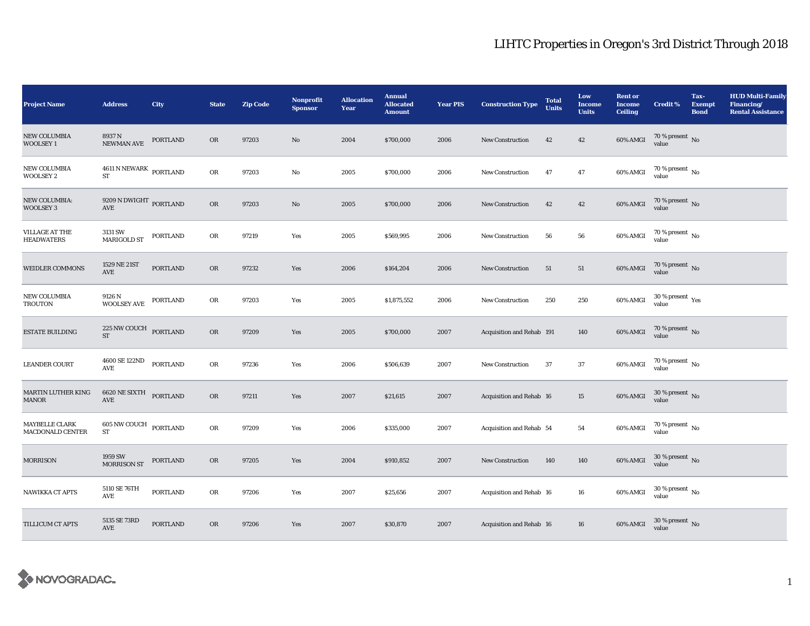| <b>Project Name</b>                     | <b>Address</b>                                           | <b>City</b>     | <b>State</b> | <b>Zip Code</b> | Nonprofit<br><b>Sponsor</b> | <b>Allocation</b><br>Year | <b>Annual</b><br><b>Allocated</b><br><b>Amount</b> | <b>Year PIS</b> | <b>Construction Type</b>  | <b>Total</b><br><b>Units</b> | Low<br><b>Income</b><br><b>Units</b> | <b>Rent or</b><br><b>Income</b><br><b>Ceiling</b> | <b>Credit %</b>                         | Tax-<br><b>Exempt</b><br><b>Bond</b> | <b>HUD Multi-Family</b><br>Financing/<br><b>Rental Assistance</b> |
|-----------------------------------------|----------------------------------------------------------|-----------------|--------------|-----------------|-----------------------------|---------------------------|----------------------------------------------------|-----------------|---------------------------|------------------------------|--------------------------------------|---------------------------------------------------|-----------------------------------------|--------------------------------------|-------------------------------------------------------------------|
| <b>NEW COLUMBIA</b><br><b>WOOLSEY1</b>  | 8937 N<br>NEWMAN AVE                                     | PORTLAND        | OR           | 97203           | $\mathbf{N}\mathbf{o}$      | 2004                      | \$700,000                                          | 2006            | New Construction          | 42                           | 42                                   | 60% AMGI                                          | $70$ % present $\,$ No value            |                                      |                                                                   |
| <b>NEW COLUMBIA</b><br><b>WOOLSEY 2</b> | $4611$ N NEWARK $_{\rm{PORTLAND}}$<br><b>ST</b>          |                 | OR           | 97203           | No                          | 2005                      | \$700,000                                          | 2006            | <b>New Construction</b>   | 47                           | 47                                   | 60% AMGI                                          | $70$ % present $\,$ No value            |                                      |                                                                   |
| NEW COLUMBIA:<br><b>WOOLSEY 3</b>       | $9209$ N DWIGHT $\,$ PORTLAND AVE                        |                 | OR           | 97203           | No                          | 2005                      | \$700,000                                          | 2006            | <b>New Construction</b>   | 42                           | 42                                   | 60% AMGI                                          | $70$ % present $\,$ No $\,$ value       |                                      |                                                                   |
| VILLAGE AT THE<br><b>HEADWATERS</b>     | 3131 SW<br><b>MARIGOLD ST</b>                            | PORTLAND        | OR           | 97219           | Yes                         | 2005                      | \$569,995                                          | 2006            | <b>New Construction</b>   | 56                           | 56                                   | 60% AMGI                                          | $70$ % present $\,$ No $\,$ value       |                                      |                                                                   |
| <b>WEIDLER COMMONS</b>                  | 1529 NE 21ST<br>AVE                                      | <b>PORTLAND</b> | OR           | 97232           | Yes                         | 2006                      | \$164,204                                          | 2006            | New Construction          | 51                           | 51                                   | <b>60% AMGI</b>                                   | $70$ % present $\,$ No value            |                                      |                                                                   |
| <b>NEW COLUMBIA</b><br><b>TROUTON</b>   | 9126 N<br><b>WOOLSEY AVE</b>                             | PORTLAND        | OR           | 97203           | Yes                         | 2005                      | \$1,875,552                                        | 2006            | New Construction          | 250                          | 250                                  | 60% AMGI                                          | $30\,\%$ present $\,\mathrm{Yes}$ value |                                      |                                                                   |
| <b>ESTATE BUILDING</b>                  | $225\,\mathrm{NW}\,\mathrm{CouCH}$ PORTLAND<br><b>ST</b> |                 | OR           | 97209           | Yes                         | 2005                      | \$700,000                                          | 2007            | Acquisition and Rehab 191 |                              | 140                                  | 60% AMGI                                          | $70\,\%$ present $\,$ No value          |                                      |                                                                   |
| <b>LEANDER COURT</b>                    | 4600 SE 122ND<br><b>AVE</b>                              | <b>PORTLAND</b> | OR           | 97236           | Yes                         | 2006                      | \$506,639                                          | 2007            | New Construction          | 37                           | $37\,$                               | 60% AMGI                                          | $70\,\%$ present $\,$ No value          |                                      |                                                                   |
| MARTIN LUTHER KING<br><b>MANOR</b>      | 6620 NE SIXTH PORTLAND<br>$\operatorname{AVE}$           |                 | OR           | 97211           | Yes                         | 2007                      | \$21,615                                           | 2007            | Acquisition and Rehab 16  |                              | $15\,$                               | 60% AMGI                                          | $30\,\%$ present $\,$ No value          |                                      |                                                                   |
| MAYBELLE CLARK<br>MACDONALD CENTER      | 605 NW COUCH<br>${\rm ST}$                               | <b>PORTLAND</b> | OR           | 97209           | Yes                         | 2006                      | \$335,000                                          | 2007            | Acquisition and Rehab 54  |                              | 54                                   | 60% AMGI                                          | $70\,\%$ present $\,$ No value          |                                      |                                                                   |
| <b>MORRISON</b>                         | 1959 SW<br><b>MORRISON ST</b>                            | PORTLAND        | <b>OR</b>    | 97205           | Yes                         | 2004                      | \$910,852                                          | 2007            | <b>New Construction</b>   | 140                          | 140                                  | 60% AMGI                                          | $30\,\%$ present $\,$ No value          |                                      |                                                                   |
| NAWIKKA CT APTS                         | 5110 SE 76TH<br>$\operatorname{AVE}$                     | <b>PORTLAND</b> | OR           | 97206           | Yes                         | 2007                      | \$25,656                                           | 2007            | Acquisition and Rehab 16  |                              | ${\bf 16}$                           | 60% AMGI                                          | $30\,\%$ present $\,$ No value          |                                      |                                                                   |
| TILLICUM CT APTS                        | 5135 SE 73RD<br>AVE                                      | PORTLAND        | $_{\rm OR}$  | 97206           | Yes                         | 2007                      | \$30,870                                           | 2007            | Acquisition and Rehab 16  |                              | 16                                   | 60% AMGI                                          | $30$ % present $\,$ No $\,$ value       |                                      |                                                                   |

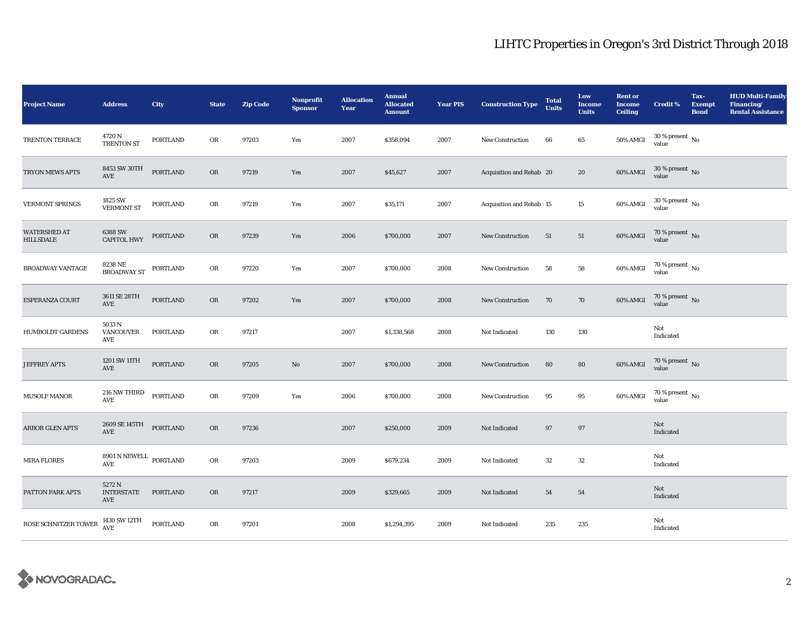| <b>Project Name</b>                     | <b>Address</b>                       | City            | <b>State</b> | <b>Zip Code</b> | Nonprofit<br><b>Sponsor</b> | <b>Allocation</b><br>Year | <b>Annual</b><br><b>Allocated</b><br><b>Amount</b> | <b>Year PIS</b> | <b>Construction Type</b> | <b>Total</b><br><b>Units</b> | Low<br><b>Income</b><br><b>Units</b> | <b>Rent or</b><br><b>Income</b><br><b>Ceiling</b> | <b>Credit %</b>                        | Tax-<br><b>Exempt</b><br><b>Bond</b> | <b>HUD Multi-Family</b><br>Financing/<br><b>Rental Assistance</b> |
|-----------------------------------------|--------------------------------------|-----------------|--------------|-----------------|-----------------------------|---------------------------|----------------------------------------------------|-----------------|--------------------------|------------------------------|--------------------------------------|---------------------------------------------------|----------------------------------------|--------------------------------------|-------------------------------------------------------------------|
| TRENTON TERRACE                         | 4720 N<br><b>TRENTON ST</b>          | <b>PORTLAND</b> | OR           | 97203           | Yes                         | 2007                      | \$358,094                                          | 2007            | <b>New Construction</b>  | 66                           | 65                                   | 50% AMGI                                          | $30\,\%$ present $\,$ No value         |                                      |                                                                   |
| <b>TRYON MEWS APTS</b>                  | 8453 SW 30TH<br>AVE                  | <b>PORTLAND</b> | OR           | 97219           | Yes                         | 2007                      | \$45,627                                           | 2007            | Acquisition and Rehab 20 |                              | 20                                   | 60% AMGI                                          | $30$ % present $\,$ No $\,$ value      |                                      |                                                                   |
| <b>VERMONT SPRINGS</b>                  | 1825 SW<br><b>VERMONT ST</b>         | PORTLAND        | OR           | 97219           | Yes                         | 2007                      | \$35,171                                           | 2007            | Acquisition and Rehab 15 |                              | $15\,$                               | $60\%$ AMGI                                       | $30\,\%$ present $\,$ No value         |                                      |                                                                   |
| <b>WATERSHED AT</b><br><b>HILLSDALE</b> | 6388 SW<br><b>CAPITOL HWY</b>        | PORTLAND        | OR           | 97239           | Yes                         | 2006                      | \$700,000                                          | 2007            | <b>New Construction</b>  | 51                           | 51                                   | 60% AMGI                                          | $70$ % present $\,$ No $\,$ value $\,$ |                                      |                                                                   |
| <b>BROADWAY VANTAGE</b>                 | 8238 NE<br><b>BROADWAY ST</b>        | PORTLAND        | OR           | 97220           | Yes                         | 2007                      | \$700,000                                          | 2008            | New Construction         | 58                           | 58                                   | 60% AMGI                                          | $70\,\%$ present $\,$ No value         |                                      |                                                                   |
| ESPERANZA COURT                         | 3611 SE 28TH<br>$\operatorname{AVE}$ | <b>PORTLAND</b> | OR           | 97202           | Yes                         | 2007                      | \$700,000                                          | 2008            | New Construction         | 70                           | 70                                   | 60% AMGI                                          | $70$ % present $\,$ No $\,$ value $\,$ |                                      |                                                                   |
| <b>HUMBOLDT GARDENS</b>                 | 5033 N<br>VANCOUVER<br>AVE           | PORTLAND        | OR           | 97217           |                             | 2007                      | \$1,338,568                                        | 2008            | Not Indicated            | 130                          | 130                                  |                                                   | Not<br>Indicated                       |                                      |                                                                   |
| <b>JEFFREY APTS</b>                     | 1201 SW 11TH<br>AVE                  | PORTLAND        | OR           | 97205           | $\rm No$                    | 2007                      | \$700,000                                          | 2008            | New Construction         | 80                           | 80                                   | 60% AMGI                                          | $70$ % present $\,$ No $\,$ value $\,$ |                                      |                                                                   |
| <b>MUSOLF MANOR</b>                     | $216$ NW THIRD<br>AVE                | PORTLAND        | OR           | 97209           | Yes                         | 2006                      | \$700,000                                          | 2008            | <b>New Construction</b>  | 95                           | 95                                   | 60% AMGI                                          | $70$ % present $\,$ No value           |                                      |                                                                   |
| <b>ARBOR GLEN APTS</b>                  | 2609 SE 145TH<br>AVE                 | PORTLAND        | OR           | 97236           |                             | 2007                      | \$250,000                                          | 2009            | Not Indicated            | 97                           | 97                                   |                                                   | Not<br>Indicated                       |                                      |                                                                   |
| <b>MIRA FLORES</b>                      | 8901 N NEWELL PORTLAND<br>AVE        |                 | OR           | 97203           |                             | 2009                      | \$679,234                                          | 2009            | Not Indicated            | $32\,$                       | $32\,$                               |                                                   | Not<br>Indicated                       |                                      |                                                                   |
| PATTON PARK APTS                        | 5272 N<br>INTERSTATE PORTLAND<br>AVE |                 | OR           | 97217           |                             | 2009                      | \$329,665                                          | 2009            | Not Indicated            | 54                           | 54                                   |                                                   | Not<br>Indicated                       |                                      |                                                                   |
| ROSE SCHNITZER TOWER                    | 1430 SW 12TH<br>AVE                  | PORTLAND        | OR           | 97201           |                             | 2008                      | \$1,294,395                                        | 2009            | Not Indicated            | 235                          | 235                                  |                                                   | Not<br>Indicated                       |                                      |                                                                   |

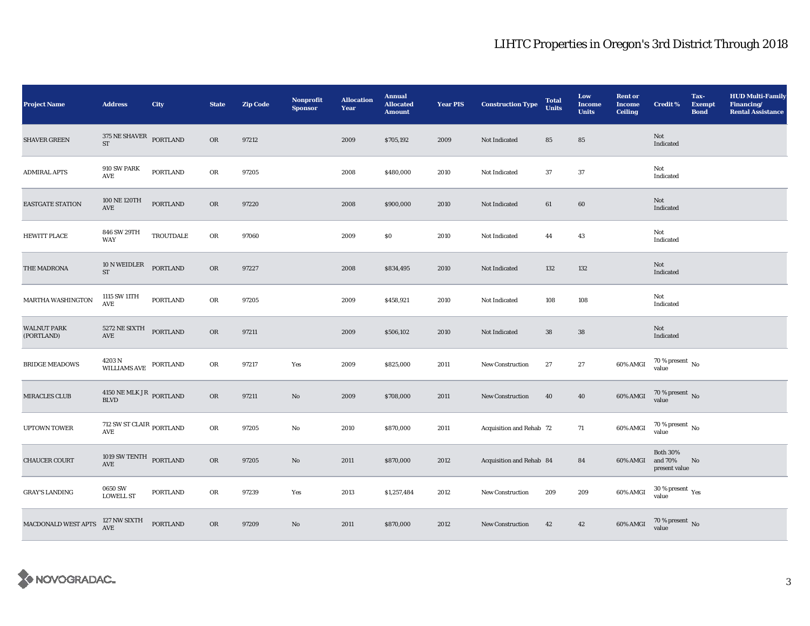| <b>Project Name</b>              | <b>Address</b>                                                   | <b>City</b>      | <b>State</b> | <b>Zip Code</b> | <b>Nonprofit</b><br><b>Sponsor</b> | <b>Allocation</b><br>Year | <b>Annual</b><br><b>Allocated</b><br><b>Amount</b> | <b>Year PIS</b> | <b>Construction Type</b> | <b>Total</b><br><b>Units</b> | Low<br><b>Income</b><br><b>Units</b> | <b>Rent or</b><br><b>Income</b><br><b>Ceiling</b> | <b>Credit %</b>                             | Tax-<br><b>Exempt</b><br><b>Bond</b> | <b>HUD Multi-Family</b><br>Financing/<br><b>Rental Assistance</b> |
|----------------------------------|------------------------------------------------------------------|------------------|--------------|-----------------|------------------------------------|---------------------------|----------------------------------------------------|-----------------|--------------------------|------------------------------|--------------------------------------|---------------------------------------------------|---------------------------------------------|--------------------------------------|-------------------------------------------------------------------|
| <b>SHAVER GREEN</b>              | 375 NE SHAVER<br><b>ST</b>                                       | PORTLAND         | OR           | 97212           |                                    | 2009                      | \$705,192                                          | 2009            | Not Indicated            | 85                           | 85                                   |                                                   | Not<br>Indicated                            |                                      |                                                                   |
| <b>ADMIRAL APTS</b>              | 910 SW PARK<br>AVE                                               | PORTLAND         | OR           | 97205           |                                    | 2008                      | \$480,000                                          | 2010            | Not Indicated            | 37                           | 37                                   |                                                   | Not<br>Indicated                            |                                      |                                                                   |
| EASTGATE STATION                 | 100 NE 120TH<br>AVE                                              | <b>PORTLAND</b>  | OR           | 97220           |                                    | 2008                      | \$900,000                                          | 2010            | Not Indicated            | 61                           | 60                                   |                                                   | Not<br>Indicated                            |                                      |                                                                   |
| <b>HEWITT PLACE</b>              | 846 SW 29TH<br><b>WAY</b>                                        | <b>TROUTDALE</b> | OR           | 97060           |                                    | 2009                      | \$0\$                                              | 2010            | <b>Not Indicated</b>     | 44                           | 43                                   |                                                   | Not<br>Indicated                            |                                      |                                                                   |
| THE MADRONA                      | 10 N WEIDLER<br><b>ST</b>                                        | <b>PORTLAND</b>  | OR           | 97227           |                                    | 2008                      | \$834,495                                          | 2010            | Not Indicated            | 132                          | 132                                  |                                                   | Not<br>Indicated                            |                                      |                                                                   |
| <b>MARTHA WASHINGTON</b>         | 1115 SW 11TH<br>AVE                                              | PORTLAND         | OR           | 97205           |                                    | 2009                      | \$458,921                                          | 2010            | Not Indicated            | 108                          | 108                                  |                                                   | Not<br>Indicated                            |                                      |                                                                   |
| <b>WALNUT PARK</b><br>(PORTLAND) | 5272 NE SIXTH PORTLAND<br>AVE                                    |                  | OR           | 97211           |                                    | 2009                      | \$506,102                                          | 2010            | Not Indicated            | ${\bf 38}$                   | ${\bf 38}$                           |                                                   | Not<br>Indicated                            |                                      |                                                                   |
| <b>BRIDGE MEADOWS</b>            | $4203\,\mathrm{N}$ $$\,\mathrm{PORTLAND}$$ <code>PORTLAND</code> |                  | OR           | 97217           | Yes                                | 2009                      | \$825,000                                          | 2011            | New Construction         | 27                           | $\bf 27$                             | 60% AMGI                                          | $70$ % present $\,$ No value                |                                      |                                                                   |
| <b>MIRACLES CLUB</b>             | $4150\;\mathrm{NE}\;\mathrm{MLK}\;\mathrm{JR}$ PORTLAND BLVD     |                  | OR           | 97211           | No                                 | 2009                      | \$708,000                                          | 2011            | <b>New Construction</b>  | 40                           | 40                                   | 60% AMGI                                          | $70$ % present $\,$ No $\,$ value $\,$      |                                      |                                                                   |
| <b>UPTOWN TOWER</b>              | $712$ SW ST CLAIR $_{\rm{PORTLAND}}$                             |                  | ${\rm OR}$   | 97205           | No                                 | 2010                      | \$870,000                                          | 2011            | Acquisition and Rehab 72 |                              | 71                                   | 60% AMGI                                          | $70$ % present $\,$ No $\,$ value $\,$      |                                      |                                                                   |
| <b>CHAUCER COURT</b>             | 1019 SW TENTH PORTLAND<br>AVE                                    |                  | OR           | 97205           | No                                 | 2011                      | \$870,000                                          | 2012            | Acquisition and Rehab 84 |                              | 84                                   | 60% AMGI                                          | <b>Both 30%</b><br>and 70%<br>present value | No                                   |                                                                   |
| <b>GRAY'S LANDING</b>            | 0650 SW<br><b>LOWELL ST</b>                                      | <b>PORTLAND</b>  | OR           | 97239           | Yes                                | 2013                      | \$1,257,484                                        | 2012            | <b>New Construction</b>  | 209                          | 209                                  | 60% AMGI                                          | $30\,\%$ present $\,$ Yes value             |                                      |                                                                   |
| MACDONALD WEST APTS              | 127 NW SIXTH<br>AVE                                              | <b>PORTLAND</b>  | OR           | 97209           | No                                 | 2011                      | \$870,000                                          | 2012            | New Construction         | 42                           | 42                                   |                                                   | 60% AMGI 70 % present No                    |                                      |                                                                   |

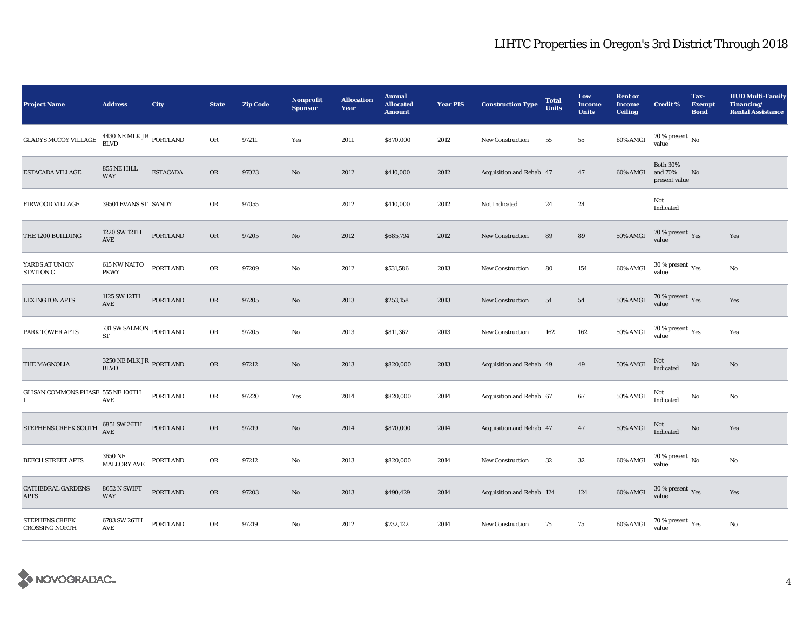| <b>Project Name</b>                              | <b>Address</b>                                     | <b>City</b>     | <b>State</b> | <b>Zip Code</b> | <b>Nonprofit</b><br><b>Sponsor</b> | <b>Allocation</b><br>Year | <b>Annual</b><br><b>Allocated</b><br><b>Amount</b> | <b>Year PIS</b> | <b>Construction Type</b>  | <b>Total</b><br><b>Units</b> | Low<br><b>Income</b><br><b>Units</b> | <b>Rent or</b><br><b>Income</b><br><b>Ceiling</b> | <b>Credit %</b>                             | Tax-<br><b>Exempt</b><br><b>Bond</b> | <b>HUD Multi-Family</b><br>Financing/<br><b>Rental Assistance</b> |
|--------------------------------------------------|----------------------------------------------------|-----------------|--------------|-----------------|------------------------------------|---------------------------|----------------------------------------------------|-----------------|---------------------------|------------------------------|--------------------------------------|---------------------------------------------------|---------------------------------------------|--------------------------------------|-------------------------------------------------------------------|
| <b>GLADYS MCCOY VILLAGE</b>                      | $4430$ NE MLK JR $\,$ PORTLAND BLVD                |                 | OR           | 97211           | Yes                                | 2011                      | \$870,000                                          | 2012            | New Construction          | 55                           | 55                                   | 60% AMGI                                          | 70 % present $\,$ No $\,$<br>value          |                                      |                                                                   |
| ESTACADA VILLAGE                                 | 855 NE HILL<br><b>WAY</b>                          | <b>ESTACADA</b> | $_{\rm OR}$  | 97023           | $\mathbf{N}\mathbf{o}$             | 2012                      | \$410,000                                          | 2012            | Acquisition and Rehab 47  |                              | $47\,$                               | 60% AMGI                                          | <b>Both 30%</b><br>and 70%<br>present value | No                                   |                                                                   |
| <b>FIRWOOD VILLAGE</b>                           | 39501 EVANS ST SANDY                               |                 | OR           | 97055           |                                    | 2012                      | \$410,000                                          | 2012            | Not Indicated             | 24                           | 24                                   |                                                   | Not<br>Indicated                            |                                      |                                                                   |
| THE 1200 BUILDING                                | 1220 SW 12TH<br>AVE                                | <b>PORTLAND</b> | OR           | 97205           | $\mathbf{N}\mathbf{o}$             | 2012                      | \$685,794                                          | 2012            | <b>New Construction</b>   | 89                           | 89                                   | 50% AMGI                                          | $70\,\%$ present $\,\mathrm{Yes}$ value     |                                      | Yes                                                               |
| YARDS AT UNION<br>STATION C                      | <b>615 NW NAITO</b><br><b>PKWY</b>                 | PORTLAND        | OR           | 97209           | No                                 | 2012                      | \$531,586                                          | 2013            | <b>New Construction</b>   | 80                           | 154                                  | 60% AMGI                                          | $30\ \%$ present $\ _{\mbox{Yes}}$ value    |                                      | $\mathbf{No}$                                                     |
| <b>LEXINGTON APTS</b>                            | 1125 SW 12TH<br>$\operatorname{AVE}$               | <b>PORTLAND</b> | OR           | 97205           | No                                 | 2013                      | \$253,158                                          | 2013            | New Construction          | 54                           | 54                                   | $50\%$ AMGI                                       | $70\,\%$ present $\,$ Yes value             |                                      | Yes                                                               |
| PARK TOWER APTS                                  | 731 SW SALMON $_{\rm{PORTLAND}}$<br><b>ST</b>      |                 | ${\rm OR}$   | 97205           | $\mathbf{No}$                      | 2013                      | \$811,362                                          | 2013            | <b>New Construction</b>   | 162                          | 162                                  | <b>50% AMGI</b>                                   | $70$ % present $\,$ $\rm Yes$ value         |                                      | Yes                                                               |
| THE MAGNOLIA                                     | $3250$ NE MLK JR $_{\rm{PORTLAND}}$<br><b>BLVD</b> |                 | $_{\rm OR}$  | 97212           | No                                 | 2013                      | \$820,000                                          | 2013            | Acquisition and Rehab 49  |                              | 49                                   | <b>50% AMGI</b>                                   | $\rm Not$ Indicated                         | $\rm No$                             | $\mathbf{No}$                                                     |
| GLISAN COMMONS PHASE 555 NE 100TH<br>$\mathbf I$ | AVE                                                | <b>PORTLAND</b> | OR           | 97220           | Yes                                | 2014                      | \$820,000                                          | 2014            | Acquisition and Rehab 67  |                              | $\bf 67$                             | <b>50% AMGI</b>                                   | Not<br>Indicated                            | No                                   | No                                                                |
| STEPHENS CREEK SOUTH                             | 6851 SW 26TH<br>AVE                                | <b>PORTLAND</b> | OR           | 97219           | No                                 | 2014                      | \$870,000                                          | 2014            | Acquisition and Rehab 47  |                              | 47                                   | <b>50% AMGI</b>                                   | Not<br>Indicated                            | No                                   | Yes                                                               |
| <b>BEECH STREET APTS</b>                         | 3650 NE<br>$\operatorname{MALLORY}$ AVE            | PORTLAND        | OR           | 97212           | No                                 | 2013                      | \$820,000                                          | 2014            | New Construction          | $32\,$                       | ${\bf 32}$                           | $60\%$ AMGI                                       | $70$ % present $\,$ No $\,$ value $\,$      |                                      | No                                                                |
| CATHEDRAL GARDENS<br><b>APTS</b>                 | <b>8652 N SWIFT</b><br><b>WAY</b>                  | <b>PORTLAND</b> | OR           | 97203           | $\mathbf{N}\mathbf{o}$             | 2013                      | \$490,429                                          | 2014            | Acquisition and Rehab 124 |                              | 124                                  | 60% AMGI                                          | $30\,\%$ present $\,\mathrm{Yes}$ value     |                                      | Yes                                                               |
| <b>STEPHENS CREEK</b><br><b>CROSSING NORTH</b>   | 6783 SW 26TH<br>AVE                                | PORTLAND        | OR           | 97219           | No                                 | 2012                      | \$732,122                                          | 2014            | New Construction          | 75                           | 75                                   | 60% AMGI                                          | $70$ % present $\,$ $\rm Yes$<br>value      |                                      | No                                                                |

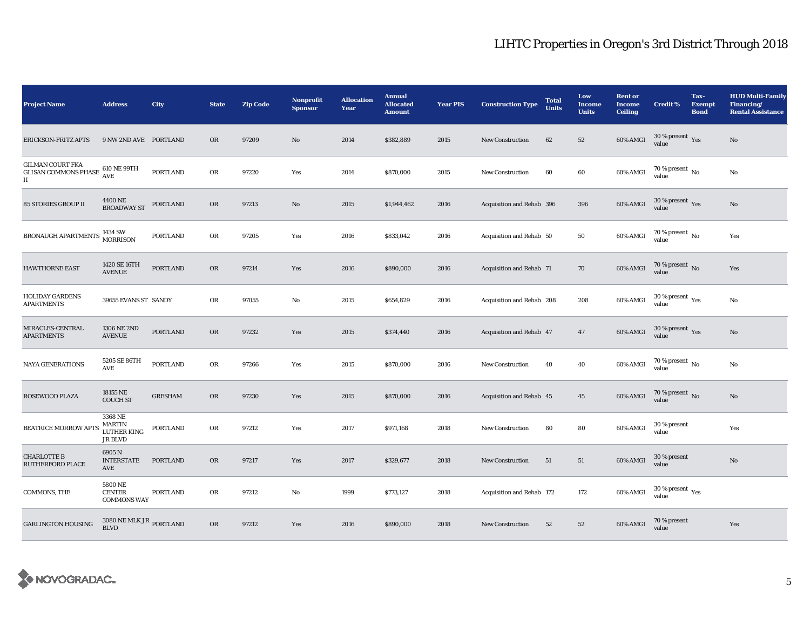| <b>Project Name</b>                                                            | <b>Address</b>                                     | <b>City</b>     | <b>State</b> | <b>Zip Code</b> | Nonprofit<br><b>Sponsor</b> | <b>Allocation</b><br>Year | <b>Annual</b><br><b>Allocated</b><br><b>Amount</b> | <b>Year PIS</b> | <b>Construction Type</b>  | <b>Total</b><br><b>Units</b> | Low<br><b>Income</b><br><b>Units</b> | <b>Rent or</b><br><b>Income</b><br><b>Ceiling</b> | <b>Credit %</b>                             | Tax-<br><b>Exempt</b><br><b>Bond</b> | <b>HUD Multi-Family</b><br>Financing/<br><b>Rental Assistance</b> |
|--------------------------------------------------------------------------------|----------------------------------------------------|-----------------|--------------|-----------------|-----------------------------|---------------------------|----------------------------------------------------|-----------------|---------------------------|------------------------------|--------------------------------------|---------------------------------------------------|---------------------------------------------|--------------------------------------|-------------------------------------------------------------------|
| <b>ERICKSON-FRITZ APTS</b>                                                     | 9 NW 2ND AVE PORTLAND                              |                 | <b>OR</b>    | 97209           | $\rm No$                    | 2014                      | \$382,889                                          | 2015            | <b>New Construction</b>   | 62                           | 52                                   | <b>60% AMGI</b>                                   | $30\,\%$ present $\,\mathrm{Yes}$ value     |                                      | $\mathbf{No}$                                                     |
| <b>GILMAN COURT FKA</b><br><b>GLISAN COMMONS PHASE</b><br>$\scriptstyle\rm II$ | 610 NE 99TH<br><b>AVE</b>                          | <b>PORTLAND</b> | OR           | 97220           | Yes                         | 2014                      | \$870,000                                          | 2015            | <b>New Construction</b>   | 60                           | 60                                   | 60% AMGI                                          | 70 % present $\,$ No $\,$<br>value          |                                      | $\mathbf{No}$                                                     |
| 85 STORIES GROUP II                                                            | 4400 NE<br><b>BROADWAY ST</b>                      | PORTLAND        | $_{\rm OR}$  | 97213           | $\mathbf{N}\mathbf{o}$      | 2015                      | \$1,944,462                                        | 2016            | Acquisition and Rehab 396 |                              | 396                                  | 60% AMGI                                          | $30\,\%$ present $\,\mathrm{Yes}$ value     |                                      | $\mathbf{No}$                                                     |
| BRONAUGH APARTMENTS                                                            | 1434 SW<br>MORRISON                                | <b>PORTLAND</b> | OR           | 97205           | Yes                         | 2016                      | \$833,042                                          | 2016            | Acquisition and Rehab 50  |                              | 50                                   | 60% AMGI                                          | $70$ % present $\,$ No value                |                                      | Yes                                                               |
| <b>HAWTHORNE EAST</b>                                                          | 1420 SE 16TH<br><b>AVENUE</b>                      | <b>PORTLAND</b> | OR           | 97214           | Yes                         | 2016                      | \$890,000                                          | 2016            | Acquisition and Rehab 71  |                              | 70                                   | 60% AMGI                                          | $70$ % present $\,$ No value                |                                      | Yes                                                               |
| <b>HOLIDAY GARDENS</b><br><b>APARTMENTS</b>                                    | 39655 EVANS ST SANDY                               |                 | OR           | 97055           | No                          | 2015                      | \$654,829                                          | 2016            | Acquisition and Rehab 208 |                              | 208                                  | 60% AMGI                                          | 30 % present $\rm \gamma_{\rm es}$<br>value |                                      | No                                                                |
| MIRACLES-CENTRAL<br><b>APARTMENTS</b>                                          | 1306 NE 2ND<br><b>AVENUE</b>                       | <b>PORTLAND</b> | OR           | 97232           | Yes                         | 2015                      | \$374,440                                          | 2016            | Acquisition and Rehab 47  |                              | 47                                   | 60% AMGI                                          | $30\,\%$ present $\,\mathrm{Yes}$ value     |                                      | No                                                                |
| <b>NAYA GENERATIONS</b>                                                        | 5205 SE 86TH<br>AVE                                | <b>PORTLAND</b> | OR           | 97266           | Yes                         | 2015                      | \$870,000                                          | 2016            | New Construction          | 40                           | 40                                   | 60% AMGI                                          | 70 % present $\,$ No $\,$<br>value          |                                      | No                                                                |
| <b>ROSEWOOD PLAZA</b>                                                          | 18155 NE<br><b>COUCH ST</b>                        | <b>GRESHAM</b>  | <b>OR</b>    | 97230           | Yes                         | 2015                      | \$870,000                                          | 2016            | Acquisition and Rehab 45  |                              | 45                                   | 60% AMGI                                          | 70 % present $\,$ No $\,$<br>value          |                                      | No                                                                |
| <b>BEATRICE MORROW APTS</b>                                                    | 3368 NE<br><b>MARTIN</b><br>LUTHER KING<br>JR BLVD | PORTLAND        | OR           | 97212           | Yes                         | 2017                      | \$971,168                                          | 2018            | <b>New Construction</b>   | 80                           | 80                                   | 60% AMGI                                          | 30 % present<br>value                       |                                      | Yes                                                               |
| <b>CHARLOTTE B</b><br>RUTHERFORD PLACE                                         | 6905N<br><b>INTERSTATE</b><br>AVE                  | <b>PORTLAND</b> | OR           | 97217           | Yes                         | 2017                      | \$329,677                                          | 2018            | <b>New Construction</b>   | 51                           | 51                                   | 60% AMGI                                          | 30 % present<br>value                       |                                      | No                                                                |
| COMMONS, THE                                                                   | 5800 NE<br><b>CENTER</b><br><b>COMMONS WAY</b>     | <b>PORTLAND</b> | OR           | 97212           | No                          | 1999                      | \$773,127                                          | 2018            | Acquisition and Rehab 172 |                              | 172                                  | 60% AMGI                                          | $30$ % present $\,$ $\rm Yes$<br>value      |                                      |                                                                   |
| <b>GARLINGTON HOUSING</b>                                                      | $3080$ NE MLK JR $_{\rm PORTLAND}$<br><b>BLVD</b>  |                 | OR           | 97212           | Yes                         | 2016                      | \$890,000                                          | 2018            | New Construction          | 52                           | 52                                   | 60% AMGI                                          | 70 % present<br>value                       |                                      | Yes                                                               |

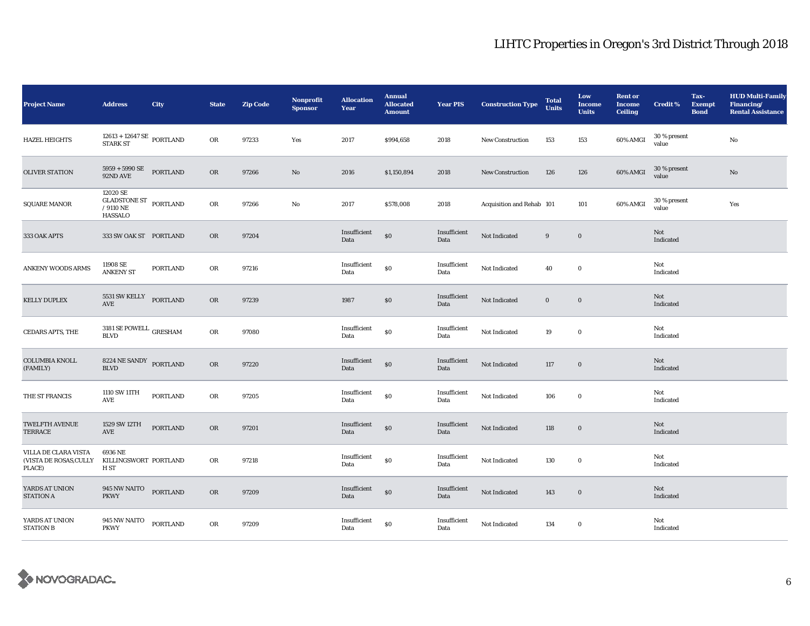| <b>Project Name</b>                                      | <b>Address</b>                                                                                                | <b>City</b>      | <b>State</b> | <b>Zip Code</b> | <b>Nonprofit</b><br><b>Sponsor</b> | <b>Allocation</b><br>Year | <b>Annual</b><br><b>Allocated</b><br><b>Amount</b> | <b>Year PIS</b>      | <b>Construction Type</b>  | <b>Total</b><br><b>Units</b> | Low<br><b>Income</b><br><b>Units</b> | <b>Rent or</b><br><b>Income</b><br><b>Ceiling</b> | <b>Credit %</b>       | Tax-<br><b>Exempt</b><br><b>Bond</b> | <b>HUD Multi-Family</b><br>Financing/<br><b>Rental Assistance</b> |
|----------------------------------------------------------|---------------------------------------------------------------------------------------------------------------|------------------|--------------|-----------------|------------------------------------|---------------------------|----------------------------------------------------|----------------------|---------------------------|------------------------------|--------------------------------------|---------------------------------------------------|-----------------------|--------------------------------------|-------------------------------------------------------------------|
| <b>HAZEL HEIGHTS</b>                                     | $\begin{array}{c} 12613 + 12647 \text{ SE} \end{array} \begin{array}{c} \text{PORTLAND} \end{array}$ STARK ST |                  | OR           | 97233           | Yes                                | 2017                      | \$994,658                                          | 2018                 | <b>New Construction</b>   | 153                          | 153                                  | 60% AMGI                                          | 30 % present<br>value |                                      | $\rm No$                                                          |
| <b>OLIVER STATION</b>                                    | $5959$ + $5990$ SE<br>92ND AVE                                                                                | <b>PORTLAND</b>  | OR           | 97266           | No                                 | 2016                      | \$1,150,894                                        | 2018                 | <b>New Construction</b>   | 126                          | 126                                  | 60% AMGI                                          | 30 % present<br>value |                                      | No                                                                |
| <b>SQUARE MANOR</b>                                      | 12020 SE<br>GLADSTONE ST PORTLAND<br>/ $9110$ NE<br><b>HASSALO</b>                                            |                  | OR           | 97266           | No                                 | 2017                      | \$578,008                                          | 2018                 | Acquisition and Rehab 101 |                              | 101                                  | 60% AMGI                                          | 30 % present<br>value |                                      | Yes                                                               |
| 333 OAK APTS                                             | 333 SW OAK ST PORTLAND                                                                                        |                  | OR           | 97204           |                                    | Insufficient<br>Data      | $\$0$                                              | Insufficient<br>Data | Not Indicated             | 9                            | $\bf{0}$                             |                                                   | Not<br>Indicated      |                                      |                                                                   |
| <b>ANKENY WOODS ARMS</b>                                 | 11908 SE<br><b>ANKENY ST</b>                                                                                  | <b>PORTLAND</b>  | OR           | 97216           |                                    | Insufficient<br>Data      | \$0                                                | Insufficient<br>Data | Not Indicated             | 40                           | $\mathbf 0$                          |                                                   | Not<br>Indicated      |                                      |                                                                   |
| <b>KELLY DUPLEX</b>                                      | 5531 SW KELLY PORTLAND<br>AVE                                                                                 |                  | OR           | 97239           |                                    | 1987                      | \$0\$                                              | Insufficient<br>Data | Not Indicated             | $\bf{0}$                     | $\mathbf 0$                          |                                                   | Not<br>Indicated      |                                      |                                                                   |
| <b>CEDARS APTS, THE</b>                                  | 3181 SE POWELL $_{\rm GRESHAM}$<br><b>BLVD</b>                                                                |                  | OR           | 97080           |                                    | Insufficient<br>Data      | $\$0$                                              | Insufficient<br>Data | Not Indicated             | 19                           | $\mathbf 0$                          |                                                   | Not<br>Indicated      |                                      |                                                                   |
| <b>COLUMBIA KNOLL</b><br>(FAMILY)                        | 8224 NE SANDY<br><b>BLVD</b>                                                                                  | PORTLAND         | OR           | 97220           |                                    | Insufficient<br>Data      | \$0                                                | Insufficient<br>Data | Not Indicated             | 117                          | $\bf{0}$                             |                                                   | Not<br>Indicated      |                                      |                                                                   |
| THE ST FRANCIS                                           | 1110 SW 11TH<br>AVE                                                                                           | <b>PORTLAND</b>  | OR           | 97205           |                                    | Insufficient<br>Data      | \$0                                                | Insufficient<br>Data | Not Indicated             | 106                          | $\bf{0}$                             |                                                   | Not<br>Indicated      |                                      |                                                                   |
| <b>TWELFTH AVENUE</b><br>TERRACE                         | 1529 SW 12TH<br>AVE                                                                                           | <b>PORTLAND</b>  | OR           | 97201           |                                    | Insufficient<br>Data      | $\$0$                                              | Insufficient<br>Data | Not Indicated             | 118                          | $\bf{0}$                             |                                                   | Not<br>Indicated      |                                      |                                                                   |
| VILLA DE CLARA VISTA<br>(VISTA DE ROSAS, CULLY<br>PLACE) | 6936 NE<br>KILLINGSWORT PORTLAND<br>H ST                                                                      |                  | OR           | 97218           |                                    | Insufficient<br>Data      | $\$0$                                              | Insufficient<br>Data | Not Indicated             | 130                          | $\bf{0}$                             |                                                   | Not<br>Indicated      |                                      |                                                                   |
| YARDS AT UNION<br><b>STATION A</b>                       | 945 NW NAITO<br><b>PKWY</b>                                                                                   | <b>PORTLAND</b>  | OR           | 97209           |                                    | Insufficient<br>Data      | \$0                                                | Insufficient<br>Data | Not Indicated             | 143                          | $\bf{0}$                             |                                                   | Not<br>Indicated      |                                      |                                                                   |
| YARDS AT UNION<br><b>STATION B</b>                       | 945 NW NAITO<br><b>PKWY</b>                                                                                   | ${\tt PORTLAND}$ | OR           | 97209           |                                    | Insufficient<br>Data      | $\$0$                                              | Insufficient<br>Data | Not Indicated             | 134                          | $\bf{0}$                             |                                                   | Not<br>Indicated      |                                      |                                                                   |

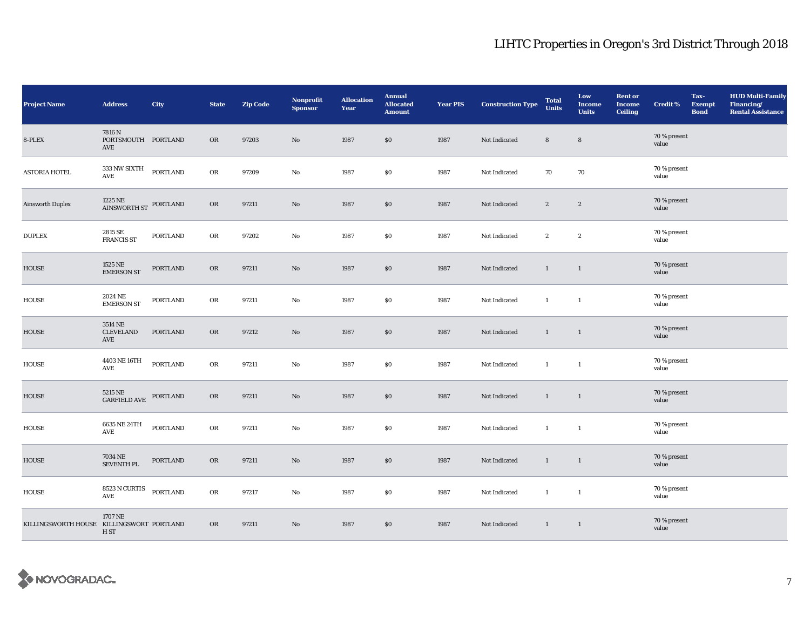| <b>Project Name</b>                       | <b>Address</b>                             | City             | <b>State</b> | <b>Zip Code</b> | <b>Nonprofit</b><br><b>Sponsor</b> | <b>Allocation</b><br>Year | <b>Annual</b><br><b>Allocated</b><br><b>Amount</b> | <b>Year PIS</b> | <b>Construction Type</b> | <b>Total</b><br><b>Units</b> | Low<br><b>Income</b><br><b>Units</b> | <b>Rent or</b><br><b>Income</b><br><b>Ceiling</b> | <b>Credit %</b>       | Tax-<br><b>Exempt</b><br><b>Bond</b> | <b>HUD Multi-Family</b><br>Financing/<br><b>Rental Assistance</b> |
|-------------------------------------------|--------------------------------------------|------------------|--------------|-----------------|------------------------------------|---------------------------|----------------------------------------------------|-----------------|--------------------------|------------------------------|--------------------------------------|---------------------------------------------------|-----------------------|--------------------------------------|-------------------------------------------------------------------|
| 8-PLEX                                    | 7816 N<br>PORTSMOUTH PORTLAND<br>AVE       |                  | OR           | 97203           | $\rm No$                           | 1987                      | \$0                                                | 1987            | Not Indicated            | $\bf 8$                      | $\bf8$                               |                                                   | 70 % present<br>value |                                      |                                                                   |
| <b>ASTORIA HOTEL</b>                      | 333 NW SIXTH<br>AVE                        | <b>PORTLAND</b>  | OR           | 97209           | $\rm No$                           | 1987                      | $\$0$                                              | 1987            | Not Indicated            | 70                           | 70                                   |                                                   | 70 % present<br>value |                                      |                                                                   |
| <b>Ainsworth Duplex</b>                   | $1225\;\mathrm{NE}$ PORTLAND AINSWORTH ST  |                  | OR           | 97211           | $\rm No$                           | 1987                      | $\$0$                                              | 1987            | Not Indicated            | $\mathbf{2}$                 | $\mathbf{2}$                         |                                                   | 70 % present<br>value |                                      |                                                                   |
| <b>DUPLEX</b>                             | 2815 SE<br><b>FRANCIS ST</b>               | PORTLAND         | OR           | 97202           | No                                 | 1987                      | $\$0$                                              | 1987            | Not Indicated            | $\mathbf{2}$                 | $\mathbf{2}$                         |                                                   | 70 % present<br>value |                                      |                                                                   |
| HOUSE                                     | 1525 NE<br><b>EMERSON ST</b>               | PORTLAND         | OR           | 97211           | No                                 | 1987                      | \$0                                                | 1987            | Not Indicated            | $\mathbf{1}$                 | $\mathbf{1}$                         |                                                   | 70 % present<br>value |                                      |                                                                   |
| HOUSE                                     | 2024 NE<br><b>EMERSON ST</b>               | PORTLAND         | OR           | 97211           | No                                 | 1987                      | $\$0$                                              | 1987            | Not Indicated            | $\mathbf{1}$                 | $\mathbf{1}$                         |                                                   | 70 % present<br>value |                                      |                                                                   |
| HOUSE                                     | 3514 NE<br>CLEVELAND<br>AVE                | <b>PORTLAND</b>  | OR           | 97212           | No                                 | 1987                      | \$0                                                | 1987            | Not Indicated            | $\mathbf{1}$                 | $\mathbf{1}$                         |                                                   | 70 % present<br>value |                                      |                                                                   |
| HOUSE                                     | 4403 NE 16TH<br>$\operatorname{AVE}$       | PORTLAND         | OR           | 97211           | No                                 | 1987                      | $\$0$                                              | 1987            | Not Indicated            | $\mathbf{1}$                 | $\mathbf{1}$                         |                                                   | 70 % present<br>value |                                      |                                                                   |
| <b>HOUSE</b>                              | 5215 NE<br>GARFIELD AVE                    | PORTLAND         | OR           | 97211           | No                                 | 1987                      | $\$0$                                              | 1987            | Not Indicated            | $\mathbf{1}$                 | $\mathbf{1}$                         |                                                   | 70 % present<br>value |                                      |                                                                   |
| <b>HOUSE</b>                              | 6635 NE 24TH<br>AVE                        | ${\tt PORTLAND}$ | OR           | 97211           | No                                 | 1987                      | \$0\$                                              | 1987            | Not Indicated            | $\mathbf{1}$                 | $\mathbf{1}$                         |                                                   | 70 % present<br>value |                                      |                                                                   |
| HOUSE                                     | 7034 NE<br><b>SEVENTH PL</b>               | PORTLAND         | OR           | 97211           | No                                 | 1987                      | \$0                                                | 1987            | Not Indicated            | $\mathbf{1}$                 | $\mathbf{1}$                         |                                                   | 70 % present<br>value |                                      |                                                                   |
| HOUSE                                     | $8523\,\mathrm{N}\,\mathrm{CURTIS}$<br>AVE | <b>PORTLAND</b>  | OR           | 97217           | No                                 | 1987                      | \$0                                                | 1987            | Not Indicated            | $\mathbf{1}$                 | $\mathbf{1}$                         |                                                   | 70 % present<br>value |                                      |                                                                   |
| KILLINGSWORTH HOUSE KILLINGSWORT PORTLAND | 1707 NE<br>H ST                            |                  | OR           | 97211           | No                                 | 1987                      | \$0                                                | 1987            | Not Indicated            | $\mathbf{1}$                 | $\mathbf{1}$                         |                                                   | 70 % present<br>value |                                      |                                                                   |

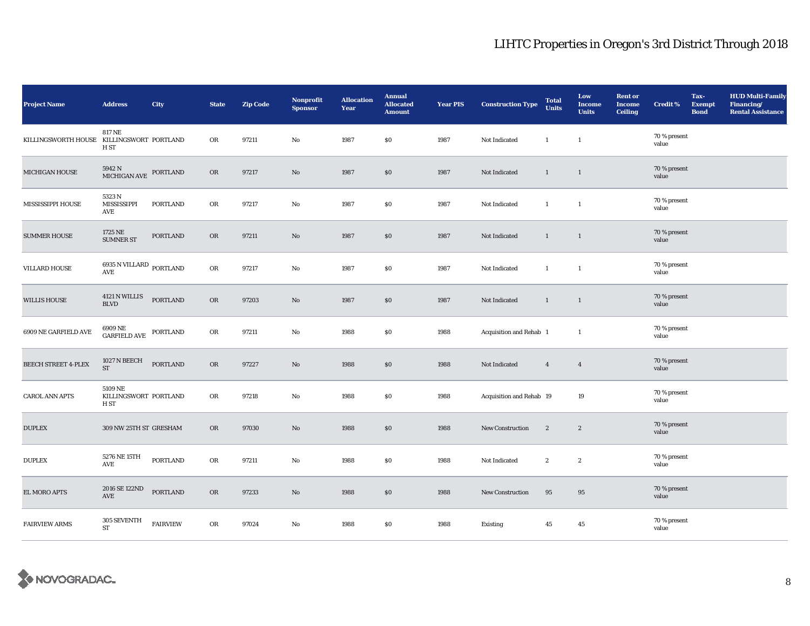| <b>Project Name</b>                       | <b>Address</b>                           | City            | <b>State</b> | <b>Zip Code</b> | <b>Nonprofit</b><br><b>Sponsor</b> | <b>Allocation</b><br>Year | <b>Annual</b><br><b>Allocated</b><br><b>Amount</b> | <b>Year PIS</b> | <b>Construction Type</b> | <b>Total</b><br><b>Units</b> | Low<br><b>Income</b><br><b>Units</b> | <b>Rent or</b><br><b>Income</b><br><b>Ceiling</b> | <b>Credit %</b>       | Tax-<br><b>Exempt</b><br><b>Bond</b> | <b>HUD Multi-Family</b><br>Financing/<br><b>Rental Assistance</b> |
|-------------------------------------------|------------------------------------------|-----------------|--------------|-----------------|------------------------------------|---------------------------|----------------------------------------------------|-----------------|--------------------------|------------------------------|--------------------------------------|---------------------------------------------------|-----------------------|--------------------------------------|-------------------------------------------------------------------|
| KILLINGSWORTH HOUSE KILLINGSWORT PORTLAND | <b>817 NE</b><br>H ST                    |                 | OR           | 97211           | $\rm No$                           | 1987                      | $\$0$                                              | 1987            | Not Indicated            | $\mathbf{1}$                 | $\mathbf{1}$                         |                                                   | 70 % present<br>value |                                      |                                                                   |
| MICHIGAN HOUSE                            | 5942 N<br>MICHIGAN AVE                   | PORTLAND        | OR           | 97217           | No                                 | 1987                      | $\$0$                                              | 1987            | Not Indicated            | $\mathbf{1}$                 | $\mathbf{1}$                         |                                                   | 70 % present<br>value |                                      |                                                                   |
| MISSISSIPPI HOUSE                         | 5323 N<br>MISSISSIPPI<br>AVE             | <b>PORTLAND</b> | ${\rm OR}$   | 97217           | $\rm No$                           | 1987                      | $\$0$                                              | 1987            | Not Indicated            | $\mathbf{1}$                 | $\mathbf{1}$                         |                                                   | 70 % present<br>value |                                      |                                                                   |
| <b>SUMMER HOUSE</b>                       | 1725 NE<br><b>SUMNER ST</b>              | <b>PORTLAND</b> | <b>OR</b>    | 97211           | $\mathbf{N}\mathbf{o}$             | 1987                      | \$0                                                | 1987            | Not Indicated            | $\mathbf{1}$                 | $\mathbf{1}$                         |                                                   | 70 % present<br>value |                                      |                                                                   |
| <b>VILLARD HOUSE</b>                      | 6935 N VILLARD PORTLAND<br>AVE           |                 | OR           | 97217           | No                                 | 1987                      | \$0\$                                              | 1987            | Not Indicated            | $\mathbf{1}$                 | $\mathbf{1}$                         |                                                   | 70 % present<br>value |                                      |                                                                   |
| <b>WILLIS HOUSE</b>                       | 4121 N WILLIS<br>$\operatorname{BLVD}$   | <b>PORTLAND</b> | ${\rm OR}$   | 97203           | $\rm No$                           | 1987                      | \$0                                                | 1987            | Not Indicated            | $\mathbf{1}$                 | $\mathbf{1}$                         |                                                   | 70 % present<br>value |                                      |                                                                   |
| 6909 NE GARFIELD AVE                      | 6909 NE<br>GARFIELD AVE                  | PORTLAND        | OR           | 97211           | No                                 | 1988                      | \$0\$                                              | 1988            | Acquisition and Rehab 1  |                              | $\mathbf{1}$                         |                                                   | 70 % present<br>value |                                      |                                                                   |
| <b>BEECH STREET 4-PLEX</b>                | 1027 N BEECH<br><b>ST</b>                | <b>PORTLAND</b> | OR           | 97227           | $\mathbf{N}\mathbf{o}$             | 1988                      | \$0                                                | 1988            | Not Indicated            | $\overline{4}$               | $\overline{4}$                       |                                                   | 70 % present<br>value |                                      |                                                                   |
| <b>CAROL ANN APTS</b>                     | 5109 NE<br>KILLINGSWORT PORTLAND<br>H ST |                 | OR           | 97218           | $\rm No$                           | 1988                      | $\$0$                                              | 1988            | Acquisition and Rehab 19 |                              | 19                                   |                                                   | 70 % present<br>value |                                      |                                                                   |
| <b>DUPLEX</b>                             | 309 NW 25TH ST GRESHAM                   |                 | <b>OR</b>    | 97030           | No                                 | 1988                      | \$0\$                                              | 1988            | <b>New Construction</b>  | $\boldsymbol{2}$             | $\mathbf{2}$                         |                                                   | 70 % present<br>value |                                      |                                                                   |
| <b>DUPLEX</b>                             | 5276 NE 15TH<br>AVE                      | PORTLAND        | OR           | 97211           | No                                 | 1988                      | \$0                                                | 1988            | Not Indicated            | $\boldsymbol{2}$             | $\boldsymbol{2}$                     |                                                   | 70 % present<br>value |                                      |                                                                   |
| EL MORO APTS                              | 2016 SE 122ND<br>$\operatorname{AVE}$    | <b>PORTLAND</b> | OR           | 97233           | $\mathbf{N}\mathbf{o}$             | 1988                      | \$0                                                | 1988            | New Construction         | 95                           | 95                                   |                                                   | 70 % present<br>value |                                      |                                                                   |
| <b>FAIRVIEW ARMS</b>                      | 305 SEVENTH<br><b>ST</b>                 | <b>FAIRVIEW</b> | OR           | 97024           | No                                 | 1988                      | \$0\$                                              | 1988            | Existing                 | 45                           | 45                                   |                                                   | 70 % present<br>value |                                      |                                                                   |

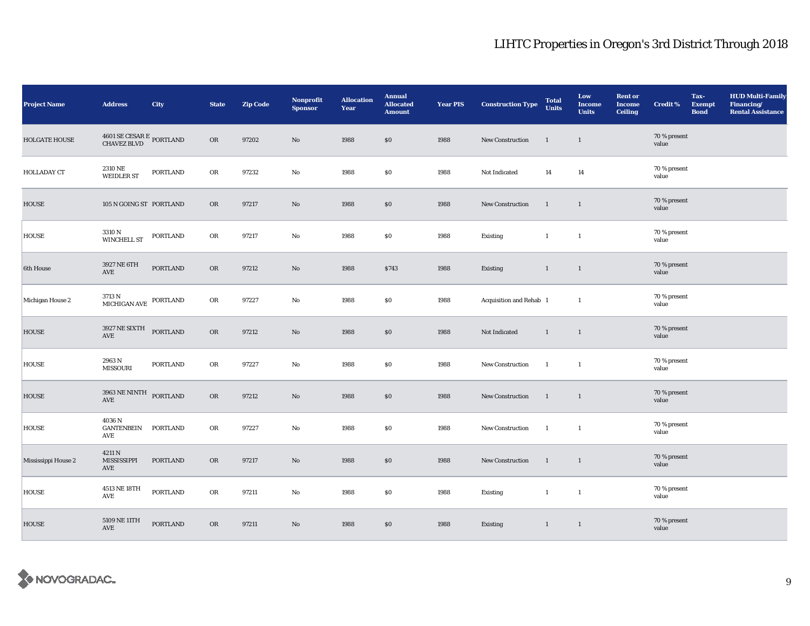| <b>Project Name</b> | <b>Address</b>                              | City            | <b>State</b> | Zip Code | Nonprofit<br><b>Sponsor</b> | <b>Allocation</b><br>Year | <b>Annual</b><br><b>Allocated</b><br><b>Amount</b> | <b>Year PIS</b> | <b>Construction Type</b> | <b>Total</b><br><b>Units</b> | Low<br><b>Income</b><br><b>Units</b> | <b>Rent or</b><br><b>Income</b><br><b>Ceiling</b> | <b>Credit %</b>       | Tax-<br><b>Exempt</b><br><b>Bond</b> | <b>HUD Multi-Family</b><br>Financing/<br><b>Rental Assistance</b> |
|---------------------|---------------------------------------------|-----------------|--------------|----------|-----------------------------|---------------------------|----------------------------------------------------|-----------------|--------------------------|------------------------------|--------------------------------------|---------------------------------------------------|-----------------------|--------------------------------------|-------------------------------------------------------------------|
| HOLGATE HOUSE       | $4601$ SE CESAR E $\,$ PORTLAND CHAVEZ BLVD |                 | OR           | 97202    | No                          | 1988                      | \$0                                                | 1988            | New Construction         | $\mathbf{1}$                 | $\mathbf{1}$                         |                                                   | 70 % present<br>value |                                      |                                                                   |
| HOLLADAY CT         | 2310 NE<br><b>WEIDLER ST</b>                | <b>PORTLAND</b> | OR           | 97232    | No                          | 1988                      | \$0                                                | 1988            | Not Indicated            | 14                           | 14                                   |                                                   | 70 % present<br>value |                                      |                                                                   |
| <b>HOUSE</b>        | 105 N GOING ST PORTLAND                     |                 | OR           | 97217    | $\mathbf{No}$               | 1988                      | \$0                                                | 1988            | <b>New Construction</b>  | <sup>1</sup>                 | $\mathbf{1}$                         |                                                   | 70 % present<br>value |                                      |                                                                   |
| <b>HOUSE</b>        | 3310 N<br>WINCHELL ST                       | <b>PORTLAND</b> | OR           | 97217    | No                          | 1988                      | \$0                                                | 1988            | <b>Existing</b>          | $\mathbf{1}$                 | $\mathbf{1}$                         |                                                   | 70 % present<br>value |                                      |                                                                   |
| 6th House           | 3927 NE 6TH<br>$\operatorname{AVE}$         | <b>PORTLAND</b> | OR           | 97212    | No                          | 1988                      | \$743                                              | 1988            | Existing                 | $\mathbf{1}$                 | $\mathbf{1}$                         |                                                   | 70 % present<br>value |                                      |                                                                   |
| Michigan House 2    | $3713$ N<br>MICHIGAN AVE $\,$ PORTLAND $\,$ |                 | OR           | 97227    | No                          | 1988                      | \$0                                                | 1988            | Acquisition and Rehab 1  |                              | $\mathbf{1}$                         |                                                   | 70 % present<br>value |                                      |                                                                   |
| <b>HOUSE</b>        | 3927 NE SIXTH<br>$\operatorname{AVE}$       | <b>PORTLAND</b> | OR           | 97212    | No.                         | 1988                      | \$0                                                | 1988            | Not Indicated            | $\mathbf{1}$                 | $\mathbf{1}$                         |                                                   | 70 % present<br>value |                                      |                                                                   |
| <b>HOUSE</b>        | 2963 N<br><b>MISSOURI</b>                   | <b>PORTLAND</b> | OR           | 97227    | No                          | 1988                      | \$0                                                | 1988            | <b>New Construction</b>  | -1                           | 1                                    |                                                   | 70 % present<br>value |                                      |                                                                   |
| <b>HOUSE</b>        | 3963 NE NINTH PORTLAND<br>AVE               |                 | OR           | 97212    | $\mathbf{N}\mathbf{o}$      | 1988                      | \$0                                                | 1988            | New Construction         | $\overline{1}$               | $\overline{1}$                       |                                                   | 70 % present<br>value |                                      |                                                                   |
| <b>HOUSE</b>        | 4036 N<br>GANTENBEIN PORTLAND<br>AVE        |                 | OR           | 97227    | No                          | 1988                      | \$0                                                | 1988            | New Construction         | $\overline{1}$               | $\mathbf{1}$                         |                                                   | 70 % present<br>value |                                      |                                                                   |
| Mississippi House 2 | 4211 N<br>MISSISSIPPI<br>AVE                | <b>PORTLAND</b> | OR           | 97217    | No                          | 1988                      | \$0                                                | 1988            | New Construction         | <sup>1</sup>                 | $\mathbf{1}$                         |                                                   | 70 % present<br>value |                                      |                                                                   |
| <b>HOUSE</b>        | 4513 NE 18TH<br>$\operatorname{AVE}$        | <b>PORTLAND</b> | OR           | 97211    | No                          | 1988                      | \$0                                                | 1988            | Existing                 | $\mathbf{1}$                 | $\mathbf{1}$                         |                                                   | 70 % present<br>value |                                      |                                                                   |
| <b>HOUSE</b>        | 5109 NE 11TH<br>AVE                         | <b>PORTLAND</b> | OR           | 97211    | No.                         | 1988                      | \$0                                                | 1988            | Existing                 | $\mathbf{1}$                 | $\overline{1}$                       |                                                   | 70 % present<br>value |                                      |                                                                   |

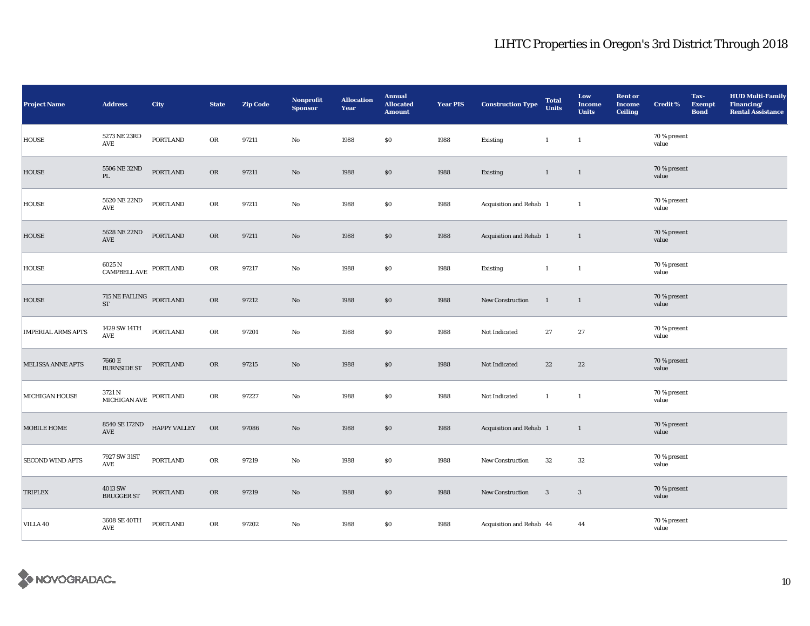| <b>Project Name</b>       | <b>Address</b>                                                                                                         | City                | <b>State</b> | <b>Zip Code</b> | Nonprofit<br><b>Sponsor</b> | <b>Allocation</b><br>Year | <b>Annual</b><br><b>Allocated</b><br><b>Amount</b> | <b>Year PIS</b> | <b>Construction Type</b> | <b>Total</b><br><b>Units</b> | Low<br><b>Income</b><br><b>Units</b> | <b>Rent or</b><br><b>Income</b><br><b>Ceiling</b> | <b>Credit %</b>       | Tax-<br><b>Exempt</b><br><b>Bond</b> | <b>HUD Multi-Family</b><br>Financing/<br><b>Rental Assistance</b> |
|---------------------------|------------------------------------------------------------------------------------------------------------------------|---------------------|--------------|-----------------|-----------------------------|---------------------------|----------------------------------------------------|-----------------|--------------------------|------------------------------|--------------------------------------|---------------------------------------------------|-----------------------|--------------------------------------|-------------------------------------------------------------------|
| <b>HOUSE</b>              | 5273 NE 23RD<br>AVE                                                                                                    | PORTLAND            | OR           | 97211           | No                          | 1988                      | \$0                                                | 1988            | Existing                 | $\mathbf{1}$                 | $\mathbf{1}$                         |                                                   | 70 % present<br>value |                                      |                                                                   |
| <b>HOUSE</b>              | 5506 NE 32ND<br>PL                                                                                                     | <b>PORTLAND</b>     | OR           | 97211           | No                          | 1988                      | $\$0$                                              | 1988            | Existing                 | $\mathbf{1}$                 | $\mathbf{1}$                         |                                                   | 70 % present<br>value |                                      |                                                                   |
| <b>HOUSE</b>              | 5620 NE 22ND<br>$\operatorname{\mathsf{AVE}}$                                                                          | <b>PORTLAND</b>     | OR           | 97211           | No                          | 1988                      | $\$0$                                              | 1988            | Acquisition and Rehab 1  |                              | $\mathbf{1}$                         |                                                   | 70 % present<br>value |                                      |                                                                   |
| <b>HOUSE</b>              | 5628 NE 22ND<br>AVE                                                                                                    | <b>PORTLAND</b>     | OR           | 97211           | No                          | 1988                      | $\$0$                                              | 1988            | Acquisition and Rehab 1  |                              | $\mathbf{1}$                         |                                                   | 70 % present<br>value |                                      |                                                                   |
| <b>HOUSE</b>              | $6025$ N $$\sf{COMPE}$ PORTLAND                                                                                        |                     | OR           | 97217           | No                          | 1988                      | \$0                                                | 1988            | Existing                 | $\mathbf{1}$                 | $\mathbf{1}$                         |                                                   | 70 % present<br>value |                                      |                                                                   |
| <b>HOUSE</b>              | $715\;\mathrm{NE}\;\mathrm{FAILING}\quad\mathrm{PORTLAND}\quad% \left( 115\;\mathrm{N}\mathrm{F}^{-1}\right)$ PORTLAND |                     | ${\sf OR}$   | 97212           | No                          | 1988                      | $\$0$                                              | 1988            | New Construction         | $\overline{1}$               | $\mathbf{1}$                         |                                                   | 70 % present<br>value |                                      |                                                                   |
| <b>IMPERIAL ARMS APTS</b> | 1429 SW 14TH<br>AVE                                                                                                    | <b>PORTLAND</b>     | OR           | 97201           | No                          | 1988                      | \$0                                                | 1988            | Not Indicated            | 27                           | 27                                   |                                                   | 70 % present<br>value |                                      |                                                                   |
| <b>MELISSA ANNE APTS</b>  | 7660 E<br><b>BURNSIDE ST</b>                                                                                           | <b>PORTLAND</b>     | <b>OR</b>    | 97215           | No                          | 1988                      | \$0                                                | 1988            | Not Indicated            | 22                           | 22                                   |                                                   | 70 % present<br>value |                                      |                                                                   |
| <b>MICHIGAN HOUSE</b>     | $3721\,\mathrm{N}$ MICHIGAN AVE PORTLAND                                                                               |                     | OR           | 97227           | No                          | 1988                      | $\$0$                                              | 1988            | Not Indicated            | $\mathbf{1}$                 | $\mathbf{1}$                         |                                                   | 70 % present<br>value |                                      |                                                                   |
| MOBILE HOME               | 8540 SE 172ND<br>AVE                                                                                                   | <b>HAPPY VALLEY</b> | ${\sf OR}$   | 97086           | No                          | 1988                      | \$0                                                | 1988            | Acquisition and Rehab 1  |                              | $\mathbf{1}$                         |                                                   | 70 % present<br>value |                                      |                                                                   |
| <b>SECOND WIND APTS</b>   | 7927 SW 31ST<br>AVE                                                                                                    | <b>PORTLAND</b>     | OR           | 97219           | No                          | 1988                      | <b>SO</b>                                          | 1988            | New Construction         | 32                           | 32                                   |                                                   | 70 % present<br>value |                                      |                                                                   |
| TRIPLEX                   | 4013 SW<br><b>BRUGGER ST</b>                                                                                           | PORTLAND            | <b>OR</b>    | 97219           | No                          | 1988                      | \$0                                                | 1988            | New Construction         | $\overline{\mathbf{3}}$      | $\mathbf{3}$                         |                                                   | 70 % present<br>value |                                      |                                                                   |
| <b>VILLA 40</b>           | 3608 SE 40TH<br>AVE                                                                                                    | <b>PORTLAND</b>     | OR           | 97202           | No                          | 1988                      | \$0                                                | 1988            | Acquisition and Rehab 44 |                              | 44                                   |                                                   | 70 % present<br>value |                                      |                                                                   |

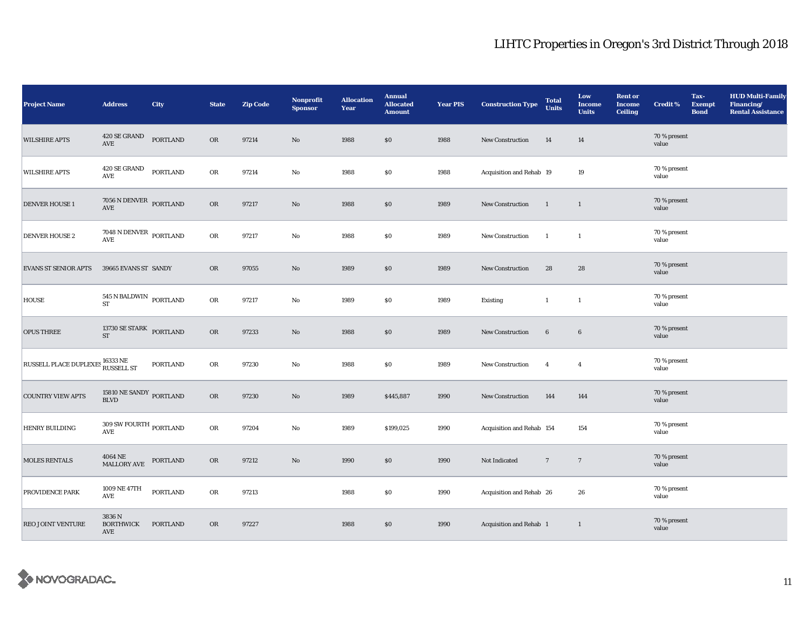| <b>Project Name</b>                                 | <b>Address</b>                                            | <b>City</b>     | <b>State</b> | <b>Zip Code</b> | Nonprofit<br><b>Sponsor</b> | <b>Allocation</b><br>Year | <b>Annual</b><br><b>Allocated</b><br><b>Amount</b> | <b>Year PIS</b> | <b>Construction Type</b>  | <b>Total</b><br><b>Units</b> | Low<br><b>Income</b><br><b>Units</b> | <b>Rent or</b><br><b>Income</b><br><b>Ceiling</b> | <b>Credit %</b>       | Tax-<br><b>Exempt</b><br><b>Bond</b> | <b>HUD Multi-Family</b><br>Financing/<br><b>Rental Assistance</b> |
|-----------------------------------------------------|-----------------------------------------------------------|-----------------|--------------|-----------------|-----------------------------|---------------------------|----------------------------------------------------|-----------------|---------------------------|------------------------------|--------------------------------------|---------------------------------------------------|-----------------------|--------------------------------------|-------------------------------------------------------------------|
| <b>WILSHIRE APTS</b>                                | 420 SE GRAND<br>AVE                                       | <b>PORTLAND</b> | OR           | 97214           | No                          | 1988                      | \$0\$                                              | 1988            | New Construction          | 14                           | 14                                   |                                                   | 70 % present<br>value |                                      |                                                                   |
| <b>WILSHIRE APTS</b>                                | $420$ SE GRAND<br>AVE                                     | <b>PORTLAND</b> | OR           | 97214           | No                          | 1988                      | \$0                                                | 1988            | Acquisition and Rehab 19  |                              | 19                                   |                                                   | 70 % present<br>value |                                      |                                                                   |
| <b>DENVER HOUSE 1</b>                               | $7056$ N DENVER $\,$ PORTLAND AVE                         |                 | OR           | 97217           | No                          | 1988                      | \$0\$                                              | 1989            | New Construction          | $\overline{1}$               | $\mathbf{1}$                         |                                                   | 70 % present<br>value |                                      |                                                                   |
| <b>DENVER HOUSE 2</b>                               | $7048$ N DENVER $\,$ PORTLAND AVE                         |                 | OR           | 97217           | No                          | 1988                      | \$0\$                                              | 1989            | New Construction          | $\mathbf{1}$                 | $\mathbf{1}$                         |                                                   | 70 % present<br>value |                                      |                                                                   |
| <b>EVANS ST SENIOR APTS</b>                         | 39665 EVANS ST SANDY                                      |                 | OR           | 97055           | No                          | 1989                      | \$0\$                                              | 1989            | <b>New Construction</b>   | 28                           | 28                                   |                                                   | 70 % present<br>value |                                      |                                                                   |
| <b>HOUSE</b>                                        | $545$ N BALDWIN $\_$ PORTLAND<br>ST                       |                 | OR           | 97217           | No                          | 1989                      | $\$0$                                              | 1989            | <b>Existing</b>           | $\mathbf{1}$                 | $\mathbf{1}$                         |                                                   | 70 % present<br>value |                                      |                                                                   |
| <b>OPUS THREE</b>                                   | 13730 SE STARK PORTLAND<br><b>ST</b>                      |                 | <b>OR</b>    | 97233           | No                          | 1988                      | \$0\$                                              | 1989            | <b>New Construction</b>   | $6\phantom{.}6$              | $6\phantom{.}6$                      |                                                   | 70 % present<br>value |                                      |                                                                   |
| RUSSELL PLACE DUPLEXES $^{16333}_{\rm RUSSELL\,ST}$ |                                                           | <b>PORTLAND</b> | OR           | 97230           | No                          | 1988                      | $\$0$                                              | 1989            | <b>New Construction</b>   | $\overline{4}$               | $\overline{4}$                       |                                                   | 70 % present<br>value |                                      |                                                                   |
| <b>COUNTRY VIEW APTS</b>                            | $15810$ $\rm{NE}$ SANDY $_{\rm{PORTLAND}}$                |                 | OR           | 97230           | No                          | 1989                      | \$445,887                                          | 1990            | New Construction          | 144                          | 144                                  |                                                   | 70 % present<br>value |                                      |                                                                   |
| HENRY BUILDING                                      | $309$ SW FOURTH $_{\rm PORTLAND}$<br>$\operatorname{AVE}$ |                 | OR           | 97204           | No                          | 1989                      | \$199,025                                          | 1990            | Acquisition and Rehab 154 |                              | 154                                  |                                                   | 70 % present<br>value |                                      |                                                                   |
| <b>MOLES RENTALS</b>                                | 4064 NE<br>MALLORY AVE                                    | PORTLAND        | OR           | 97212           | No                          | 1990                      | \$0                                                | 1990            | Not Indicated             | $7\phantom{.0}$              | $7\phantom{.0}$                      |                                                   | 70 % present<br>value |                                      |                                                                   |
| PROVIDENCE PARK                                     | 1009 NE 47TH<br>$\operatorname{AVE}$                      | PORTLAND        | OR           | 97213           |                             | 1988                      | $\$0$                                              | 1990            | Acquisition and Rehab 26  |                              | 26                                   |                                                   | 70 % present<br>value |                                      |                                                                   |
| REO JOINT VENTURE                                   | 3836 N<br><b>BORTHWICK</b><br>AVE                         | PORTLAND        | <b>OR</b>    | 97227           |                             | 1988                      | \$0                                                | 1990            | Acquisition and Rehab 1   |                              | $\mathbf{1}$                         |                                                   | 70 % present<br>value |                                      |                                                                   |

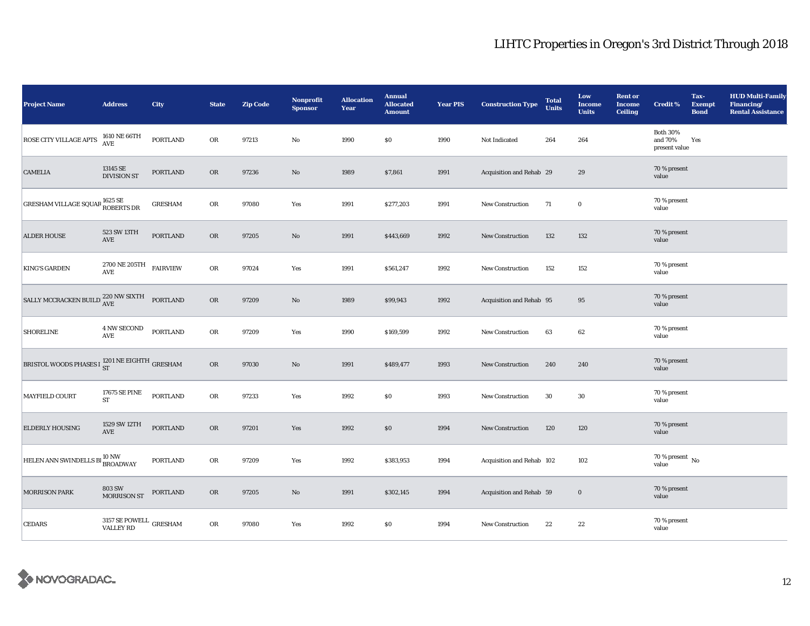| Project Name                                                                                                                                                                                            | <b>Address</b>                          | <b>City</b>     | <b>State</b> | <b>Zip Code</b> | Nonprofit<br><b>Sponsor</b> | <b>Allocation</b><br>Year | <b>Annual</b><br><b>Allocated</b><br><b>Amount</b> | <b>Year PIS</b> | <b>Construction Type</b>  | <b>Total</b><br><b>Units</b> | Low<br><b>Income</b><br><b>Units</b> | <b>Rent or</b><br><b>Income</b><br><b>Ceiling</b> | <b>Credit %</b>                             | Tax-<br><b>Exempt</b><br><b>Bond</b> | <b>HUD Multi-Family</b><br>Financing/<br><b>Rental Assistance</b> |
|---------------------------------------------------------------------------------------------------------------------------------------------------------------------------------------------------------|-----------------------------------------|-----------------|--------------|-----------------|-----------------------------|---------------------------|----------------------------------------------------|-----------------|---------------------------|------------------------------|--------------------------------------|---------------------------------------------------|---------------------------------------------|--------------------------------------|-------------------------------------------------------------------|
| <b>ROSE CITY VILLAGE APTS</b>                                                                                                                                                                           | $1610$ NE $66\mathrm{TH}$ AVE           | <b>PORTLAND</b> | OR           | 97213           | No                          | 1990                      | \$0\$                                              | 1990            | Not Indicated             | 264                          | 264                                  |                                                   | <b>Both 30%</b><br>and 70%<br>present value | Yes                                  |                                                                   |
| <b>CAMELIA</b>                                                                                                                                                                                          | 13145 SE<br><b>DIVISION ST</b>          | PORTLAND        | <b>OR</b>    | 97236           | No                          | 1989                      | \$7,861                                            | 1991            | Acquisition and Rehab 29  |                              | 29                                   |                                                   | 70 % present<br>value                       |                                      |                                                                   |
| GRESHAM VILLAGE SQUAR $^{1625}_{\rm ROBERTS\ DR}$                                                                                                                                                       |                                         | <b>GRESHAM</b>  | OR           | 97080           | Yes                         | 1991                      | \$277,203                                          | 1991            | New Construction          | 71                           | $\mathbf 0$                          |                                                   | 70 % present<br>value                       |                                      |                                                                   |
| <b>ALDER HOUSE</b>                                                                                                                                                                                      | 523 SW 13TH<br>AVE                      | <b>PORTLAND</b> | OR           | 97205           | No                          | 1991                      | \$443,669                                          | 1992            | New Construction          | 132                          | 132                                  |                                                   | 70 % present<br>value                       |                                      |                                                                   |
| <b>KING'S GARDEN</b>                                                                                                                                                                                    | 2700 NE 205TH<br>AVE                    | <b>FAIRVIEW</b> | OR           | 97024           | Yes                         | 1991                      | \$561,247                                          | 1992            | New Construction          | 152                          | 152                                  |                                                   | 70 % present<br>value                       |                                      |                                                                   |
| $\begin{tabular}{ c c c c c } \hline \texttt{SALLY MCCRACKEN BULD.} \end{tabular} \begin{tabular}{c} \multicolumn{2}{c}{\textbf{220 NW SIXTH}}\\ \hline \texttt{AVE} & \texttt{PORTLAND} \end{tabular}$ |                                         |                 | ${\rm OR}$   | 97209           | No                          | 1989                      | \$99,943                                           | 1992            | Acquisition and Rehab 95  |                              | $\bf 95$                             |                                                   | 70 % present<br>value                       |                                      |                                                                   |
| SHORELINE                                                                                                                                                                                               | <b>4 NW SECOND</b><br>AVE               | <b>PORTLAND</b> | OR           | 97209           | Yes                         | 1990                      | \$169,599                                          | 1992            | <b>New Construction</b>   | 63                           | 62                                   |                                                   | 70 % present<br>value                       |                                      |                                                                   |
| BRISTOL WOODS PHASES I $_{\rm ST}^{1201\rm\,NE\,EIGHTH}$ GRESHAM                                                                                                                                        |                                         |                 | <b>OR</b>    | 97030           | No                          | 1991                      | \$489,477                                          | 1993            | <b>New Construction</b>   | 240                          | 240                                  |                                                   | 70 % present<br>value                       |                                      |                                                                   |
| MAYFIELD COURT                                                                                                                                                                                          | 17675 SE PINE<br>ST                     | <b>PORTLAND</b> | OR           | 97233           | Yes                         | 1992                      | \$0                                                | 1993            | New Construction          | 30                           | 30                                   |                                                   | 70 % present<br>value                       |                                      |                                                                   |
| <b>ELDERLY HOUSING</b>                                                                                                                                                                                  | 1529 SW 12TH<br>AVE                     | <b>PORTLAND</b> | <b>OR</b>    | 97201           | Yes                         | 1992                      | \$0\$                                              | 1994            | New Construction          | 120                          | 120                                  |                                                   | 70 % present<br>value                       |                                      |                                                                   |
| HELEN ANN SWINDELLS BI <sup>10 NW</sup> BROADWAY                                                                                                                                                        |                                         | <b>PORTLAND</b> | OR           | 97209           | Yes                         | 1992                      | \$383,953                                          | 1994            | Acquisition and Rehab 102 |                              | 102                                  |                                                   | 70 % present $\,$ No $\,$<br>value          |                                      |                                                                   |
| <b>MORRISON PARK</b>                                                                                                                                                                                    | <b>803 SW</b><br><b>MORRISON ST</b>     | PORTLAND        | <b>OR</b>    | 97205           | No                          | 1991                      | \$302,145                                          | 1994            | Acquisition and Rehab 59  |                              | $\mathbf 0$                          |                                                   | 70 % present<br>value                       |                                      |                                                                   |
| <b>CEDARS</b>                                                                                                                                                                                           | $3157$ SE POWELL $\,$ GRESHAM VALLEY RD |                 | OR           | 97080           | Yes                         | 1992                      | $\$0$                                              | 1994            | New Construction          | 22                           | $2\sqrt{2}$                          |                                                   | 70 % present<br>value                       |                                      |                                                                   |

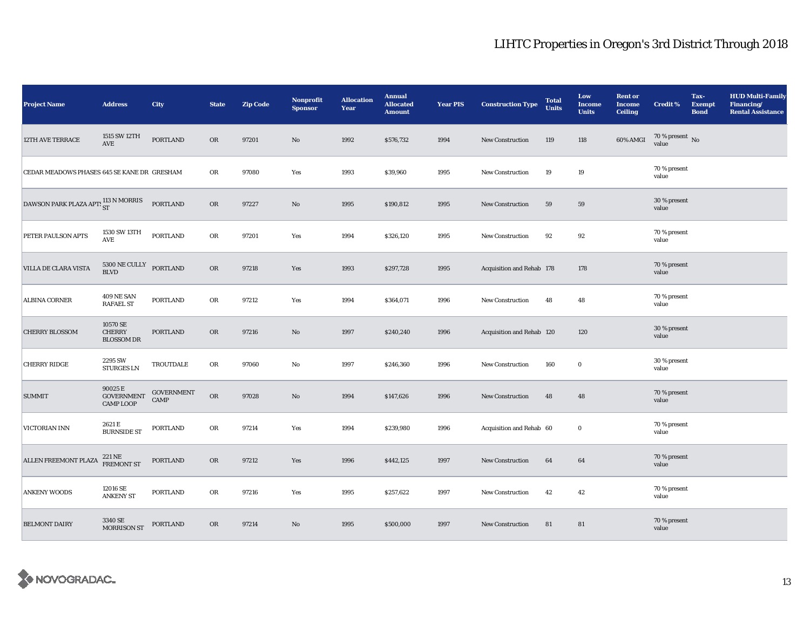| <b>Project Name</b>                         | <b>Address</b>                                               | City                             | <b>State</b> | <b>Zip Code</b> | Nonprofit<br><b>Sponsor</b> | <b>Allocation</b><br>Year | <b>Annual</b><br><b>Allocated</b><br><b>Amount</b> | <b>Year PIS</b> | <b>Construction Type</b>  | <b>Total</b><br><b>Units</b> | Low<br><b>Income</b><br><b>Units</b> | <b>Rent or</b><br><b>Income</b><br><b>Ceiling</b> | <b>Credit %</b>                        | Tax-<br><b>Exempt</b><br><b>Bond</b> | <b>HUD Multi-Family</b><br>Financing/<br><b>Rental Assistance</b> |
|---------------------------------------------|--------------------------------------------------------------|----------------------------------|--------------|-----------------|-----------------------------|---------------------------|----------------------------------------------------|-----------------|---------------------------|------------------------------|--------------------------------------|---------------------------------------------------|----------------------------------------|--------------------------------------|-------------------------------------------------------------------|
| <b>12TH AVE TERRACE</b>                     | 1515 SW 12TH<br>AVE                                          | <b>PORTLAND</b>                  | OR           | 97201           | No                          | 1992                      | \$576,732                                          | 1994            | <b>New Construction</b>   | 119                          | 118                                  | 60% AMGI                                          | $70$ % present $\,$ No $\,$ value $\,$ |                                      |                                                                   |
| CEDAR MEADOWS PHASES 645 SE KANE DR GRESHAM |                                                              |                                  | OR           | 97080           | Yes                         | 1993                      | \$39,960                                           | 1995            | <b>New Construction</b>   | 19                           | 19                                   |                                                   | 70 % present<br>value                  |                                      |                                                                   |
| DAWSON PARK PLAZA APTS ST                   |                                                              | <b>PORTLAND</b>                  | OR           | 97227           | $\mathbf{N}\mathbf{o}$      | 1995                      | \$190,812                                          | 1995            | <b>New Construction</b>   | 59                           | 59                                   |                                                   | 30 % present<br>value                  |                                      |                                                                   |
| PETER PAULSON APTS                          | 1530 SW 13TH<br>$\operatorname{\mathsf{AVE}}$                | <b>PORTLAND</b>                  | OR           | 97201           | Yes                         | 1994                      | \$326,120                                          | 1995            | <b>New Construction</b>   | 92                           | 92                                   |                                                   | 70 % present<br>value                  |                                      |                                                                   |
| VILLA DE CLARA VISTA                        | 5300 NE CULLY<br>$\operatorname{BLVD}$                       | <b>PORTLAND</b>                  | $_{\rm OR}$  | 97218           | Yes                         | 1993                      | \$297,728                                          | 1995            | Acquisition and Rehab 178 |                              | 178                                  |                                                   | 70 % present<br>value                  |                                      |                                                                   |
| <b>ALBINA CORNER</b>                        | 409 NE SAN<br><b>RAFAEL ST</b>                               | <b>PORTLAND</b>                  | OR           | 97212           | Yes                         | 1994                      | \$364,071                                          | 1996            | <b>New Construction</b>   | 48                           | 48                                   |                                                   | 70 % present<br>value                  |                                      |                                                                   |
| <b>CHERRY BLOSSOM</b>                       | 10570 SE<br><b>CHERRY</b><br><b>BLOSSOM DR</b>               | <b>PORTLAND</b>                  | <b>OR</b>    | 97216           | No                          | 1997                      | \$240,240                                          | 1996            | Acquisition and Rehab 120 |                              | 120                                  |                                                   | 30 % present<br>value                  |                                      |                                                                   |
| <b>CHERRY RIDGE</b>                         | 2295 SW<br><b>STURGES LN</b>                                 | TROUTDALE                        | OR           | 97060           | No                          | 1997                      | \$246,360                                          | 1996            | New Construction          | 160                          | $\bf{0}$                             |                                                   | 30 % present<br>value                  |                                      |                                                                   |
| <b>SUMMIT</b>                               | $90025\,\mathrm{E}$<br><b>GOVERNMENT</b><br><b>CAMP LOOP</b> | <b>GOVERNMENT</b><br><b>CAMP</b> | OR           | 97028           | No                          | 1994                      | \$147,626                                          | 1996            | <b>New Construction</b>   | 48                           | 48                                   |                                                   | 70 % present<br>value                  |                                      |                                                                   |
| VICTORIAN INN                               | 2621 E<br><b>BURNSIDE ST</b>                                 | <b>PORTLAND</b>                  | OR           | 97214           | Yes                         | 1994                      | \$239,980                                          | 1996            | Acquisition and Rehab 60  |                              | $\bf{0}$                             |                                                   | 70 % present<br>value                  |                                      |                                                                   |
| <b>ALLEN FREEMONT PLAZA</b>                 | 221 NE<br><b>FREMONT ST</b>                                  | <b>PORTLAND</b>                  | OR           | 97212           | Yes                         | 1996                      | \$442,125                                          | 1997            | <b>New Construction</b>   | 64                           | 64                                   |                                                   | 70 % present<br>value                  |                                      |                                                                   |
| <b>ANKENY WOODS</b>                         | 12016 SE<br><b>ANKENY ST</b>                                 | <b>PORTLAND</b>                  | OR           | 97216           | Yes                         | 1995                      | \$257,622                                          | 1997            | <b>New Construction</b>   | 42                           | 42                                   |                                                   | 70 % present<br>value                  |                                      |                                                                   |
| <b>BELMONT DAIRY</b>                        | 3340 SE<br><b>MORRISON ST</b>                                | <b>PORTLAND</b>                  | <b>OR</b>    | 97214           | No                          | 1995                      | \$500,000                                          | 1997            | New Construction          | 81                           | 81                                   |                                                   | 70 % present<br>value                  |                                      |                                                                   |

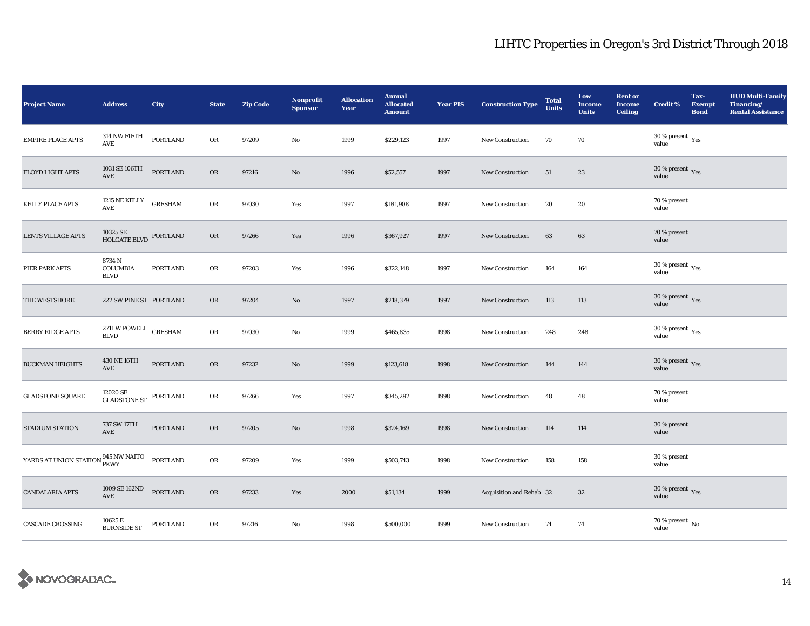| <b>Project Name</b>                 | <b>Address</b>                                   | <b>City</b>     | <b>State</b> | <b>Zip Code</b> | Nonprofit<br><b>Sponsor</b> | <b>Allocation</b><br>Year | <b>Annual</b><br><b>Allocated</b><br><b>Amount</b> | <b>Year PIS</b> | <b>Construction Type</b> | <b>Total</b><br><b>Units</b> | Low<br><b>Income</b><br><b>Units</b> | <b>Rent or</b><br><b>Income</b><br><b>Ceiling</b> | <b>Credit %</b>                                | Tax-<br><b>Exempt</b><br><b>Bond</b> | <b>HUD Multi-Family</b><br>Financing/<br><b>Rental Assistance</b> |
|-------------------------------------|--------------------------------------------------|-----------------|--------------|-----------------|-----------------------------|---------------------------|----------------------------------------------------|-----------------|--------------------------|------------------------------|--------------------------------------|---------------------------------------------------|------------------------------------------------|--------------------------------------|-------------------------------------------------------------------|
| <b>EMPIRE PLACE APTS</b>            | $314$ NW FIFTH<br>AVE                            | <b>PORTLAND</b> | OR           | 97209           | No                          | 1999                      | \$229,123                                          | 1997            | New Construction         | 70                           | 70                                   |                                                   | 30 % present $\rm\,Yes$<br>value               |                                      |                                                                   |
| <b>FLOYD LIGHT APTS</b>             | 1031 SE 106TH<br>AVE                             | <b>PORTLAND</b> | OR           | 97216           | $\mathbf{N}\mathbf{o}$      | 1996                      | \$52,557                                           | 1997            | New Construction         | 51                           | 23                                   |                                                   | 30 % present $\gamma_{\rm{es}}$<br>value       |                                      |                                                                   |
| <b>KELLY PLACE APTS</b>             | 1215 NE KELLY<br>AVE                             | <b>GRESHAM</b>  | OR           | 97030           | Yes                         | 1997                      | \$181,908                                          | 1997            | New Construction         | 20                           | 20                                   |                                                   | 70 % present<br>value                          |                                      |                                                                   |
| <b>LENTS VILLAGE APTS</b>           | 10325 SE<br>HOLGATE BLVD                         | PORTLAND        | <b>OR</b>    | 97266           | Yes                         | 1996                      | \$367,927                                          | 1997            | <b>New Construction</b>  | 63                           | 63                                   |                                                   | 70 % present<br>value                          |                                      |                                                                   |
| PIER PARK APTS                      | 8734N<br><b>COLUMBIA</b><br><b>BLVD</b>          | <b>PORTLAND</b> | OR           | 97203           | Yes                         | 1996                      | \$322,148                                          | 1997            | <b>New Construction</b>  | 164                          | 164                                  |                                                   | $30\,\%$ present $\,$ Yes value                |                                      |                                                                   |
| THE WESTSHORE                       | 222 SW PINE ST PORTLAND                          |                 | OR           | 97204           | No                          | 1997                      | \$218,379                                          | 1997            | <b>New Construction</b>  | 113                          | 113                                  |                                                   | 30 % present $\,$ $\rm Yes$<br>value           |                                      |                                                                   |
| <b>BERRY RIDGE APTS</b>             | $2711\,\mathrm{W}$ POWELL GRESHAM<br><b>BLVD</b> |                 | OR           | 97030           | No                          | 1999                      | \$465,835                                          | 1998            | <b>New Construction</b>  | 248                          | 248                                  |                                                   | $30\,\%$ present $\,\mathrm{Yes}$ value        |                                      |                                                                   |
| <b>BUCKMAN HEIGHTS</b>              | 430 NE 16TH<br>AVE                               | <b>PORTLAND</b> | <b>OR</b>    | 97232           | No                          | 1999                      | \$123,618                                          | 1998            | <b>New Construction</b>  | 144                          | 144                                  |                                                   | 30 % present $\sqrt{\gamma_{\rm PS}}$<br>value |                                      |                                                                   |
| <b>GLADSTONE SQUARE</b>             | $12020$ SE $\,$ GLADSTONE ST                     | PORTLAND        | OR           | 97266           | Yes                         | 1997                      | \$345,292                                          | 1998            | <b>New Construction</b>  | 48                           | 48                                   |                                                   | 70 % present<br>value                          |                                      |                                                                   |
| <b>STADIUM STATION</b>              | 737 SW 17TH<br>AVE                               | <b>PORTLAND</b> | <b>OR</b>    | 97205           | No                          | 1998                      | \$324,169                                          | 1998            | <b>New Construction</b>  | 114                          | 114                                  |                                                   | 30 % present<br>value                          |                                      |                                                                   |
| YARDS AT UNION STATION 945 NW NAITO |                                                  | PORTLAND        | OR           | 97209           | Yes                         | 1999                      | \$503,743                                          | 1998            | <b>New Construction</b>  | 158                          | 158                                  |                                                   | 30 % present<br>value                          |                                      |                                                                   |
| <b>CANDALARIA APTS</b>              | 1009 SE 162ND<br>$\operatorname{AVE}$            | <b>PORTLAND</b> | <b>OR</b>    | 97233           | Yes                         | 2000                      | \$51,134                                           | 1999            | Acquisition and Rehab 32 |                              | $32\phantom{.0}$                     |                                                   | 30 % present $\gamma_{\rm{es}}$<br>value       |                                      |                                                                   |
| <b>CASCADE CROSSING</b>             | 10625 E<br><b>BURNSIDE ST</b>                    | <b>PORTLAND</b> | OR           | 97216           | No                          | 1998                      | \$500,000                                          | 1999            | New Construction         | 74                           | 74                                   |                                                   | $70$ % present $\,$ No value                   |                                      |                                                                   |

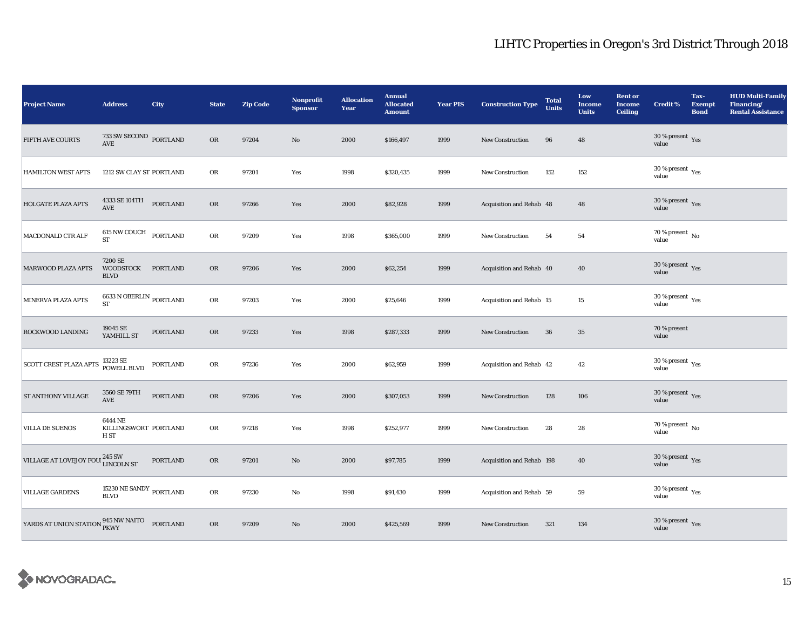| <b>Project Name</b>                                            | <b>Address</b>                                                            | <b>City</b>     | <b>State</b> | <b>Zip Code</b> | Nonprofit<br><b>Sponsor</b> | <b>Allocation</b><br>Year | <b>Annual</b><br><b>Allocated</b><br><b>Amount</b> | <b>Year PIS</b> | <b>Construction Type</b>  | <b>Total</b><br><b>Units</b> | Low<br>Income<br><b>Units</b> | <b>Rent or</b><br><b>Income</b><br><b>Ceiling</b> | <b>Credit %</b>                             | Tax-<br><b>Exempt</b><br><b>Bond</b> | <b>HUD Multi-Family</b><br>Financing/<br><b>Rental Assistance</b> |
|----------------------------------------------------------------|---------------------------------------------------------------------------|-----------------|--------------|-----------------|-----------------------------|---------------------------|----------------------------------------------------|-----------------|---------------------------|------------------------------|-------------------------------|---------------------------------------------------|---------------------------------------------|--------------------------------------|-------------------------------------------------------------------|
| FIFTH AVE COURTS                                               | $733$ SW SECOND $\,$ PORTLAND $\,$ AVE                                    |                 | <b>OR</b>    | 97204           | No                          | 2000                      | \$166,497                                          | 1999            | New Construction          | 96                           | 48                            |                                                   | $30$ % present $\,$ $\rm Yes$<br>value      |                                      |                                                                   |
| <b>HAMILTON WEST APTS</b>                                      | 1212 SW CLAY ST PORTLAND                                                  |                 | OR           | 97201           | Yes                         | 1998                      | \$320,435                                          | 1999            | <b>New Construction</b>   | 152                          | 152                           |                                                   | 30 % present $\rm\,Yes$<br>value            |                                      |                                                                   |
| HOLGATE PLAZA APTS                                             | $4333\, \mathrm{SE}\, 104\, \mathrm{TH}$ PORTLAND<br>$\operatorname{AVE}$ |                 | OR           | 97266           | Yes                         | 2000                      | \$82,928                                           | 1999            | Acquisition and Rehab 48  |                              | 48                            |                                                   | 30 % present $\,$ Yes<br>value              |                                      |                                                                   |
| MACDONALD CTR ALF                                              | 615 NW COUCH PORTLAND<br><b>ST</b>                                        |                 | OR           | 97209           | Yes                         | 1998                      | \$365,000                                          | 1999            | New Construction          | 54                           | 54                            |                                                   | $70\,\%$ present $\,$ No $\,$<br>value      |                                      |                                                                   |
| MARWOOD PLAZA APTS                                             | 7200 SE<br>WOODSTOCK PORTLAND<br><b>BLVD</b>                              |                 | <b>OR</b>    | 97206           | Yes                         | 2000                      | \$62,254                                           | 1999            | Acquisition and Rehab 40  |                              | 40                            |                                                   | 30 % present $\gamma_{\rm{es}}$<br>value    |                                      |                                                                   |
| MINERVA PLAZA APTS                                             | 6633 N OBERLIN $_{\rm{PORTLAND}}$<br>ST                                   |                 | OR           | 97203           | Yes                         | 2000                      | \$25,646                                           | 1999            | Acquisition and Rehab 15  |                              | 15                            |                                                   | 30 % present $\rm\thinspace_{Yes}$<br>value |                                      |                                                                   |
| ROCKWOOD LANDING                                               | 19045 SE<br>YAMHILL ST                                                    | <b>PORTLAND</b> | <b>OR</b>    | 97233           | Yes                         | 1998                      | \$287,333                                          | 1999            | <b>New Construction</b>   | 36                           | $\bf 35$                      |                                                   | 70 % present<br>value                       |                                      |                                                                   |
| <b>SCOTT CREST PLAZA APTS</b>                                  | 13223 SE<br>POWELL BLVD                                                   | PORTLAND        | OR           | 97236           | Yes                         | 2000                      | \$62,959                                           | 1999            | Acquisition and Rehab 42  |                              | 42                            |                                                   | 30 % present $\rm\,Yes$<br>value            |                                      |                                                                   |
| <b>ST ANTHONY VILLAGE</b>                                      | 3560 SE 79TH<br>$\operatorname{AVE}$                                      | <b>PORTLAND</b> | OR           | 97206           | Yes                         | 2000                      | \$307,053                                          | 1999            | <b>New Construction</b>   | 128                          | 106                           |                                                   | $30\,\%$ present $\,\mathrm{Yes}$ value     |                                      |                                                                   |
| <b>VILLA DE SUENOS</b>                                         | 6444 NE<br>KILLINGSWORT PORTLAND<br>H ST                                  |                 | OR           | 97218           | Yes                         | 1998                      | \$252,977                                          | 1999            | New Construction          | 28                           | 28                            |                                                   | $70$ % present $\,$ No $\,$<br>value        |                                      |                                                                   |
| VILLAGE AT LOVEJOY FOU <sup>245</sup> SW <sub>LINCOLN</sub> ST |                                                                           | <b>PORTLAND</b> | <b>OR</b>    | 97201           | No                          | 2000                      | \$97,785                                           | 1999            | Acquisition and Rehab 198 |                              | 40                            |                                                   | $30$ % present $\,$ $\rm Yes$<br>value      |                                      |                                                                   |
| <b>VILLAGE GARDENS</b>                                         | 15230 NE SANDY $_{\rm PORTLAND}$<br><b>BLVD</b>                           |                 | OR           | 97230           | No                          | 1998                      | \$91,430                                           | 1999            | Acquisition and Rehab 59  |                              | 59                            |                                                   | 30 % present $\rm\thinspace_{Yes}$<br>value |                                      |                                                                   |
| YARDS AT UNION STATION 945 NW NAITO                            |                                                                           | PORTLAND        | OR           | 97209           | No                          | 2000                      | \$425,569                                          | 1999            | <b>New Construction</b>   | 321                          | 134                           |                                                   | $30\,\%$ present $\,\mathrm{Yes}$ value     |                                      |                                                                   |

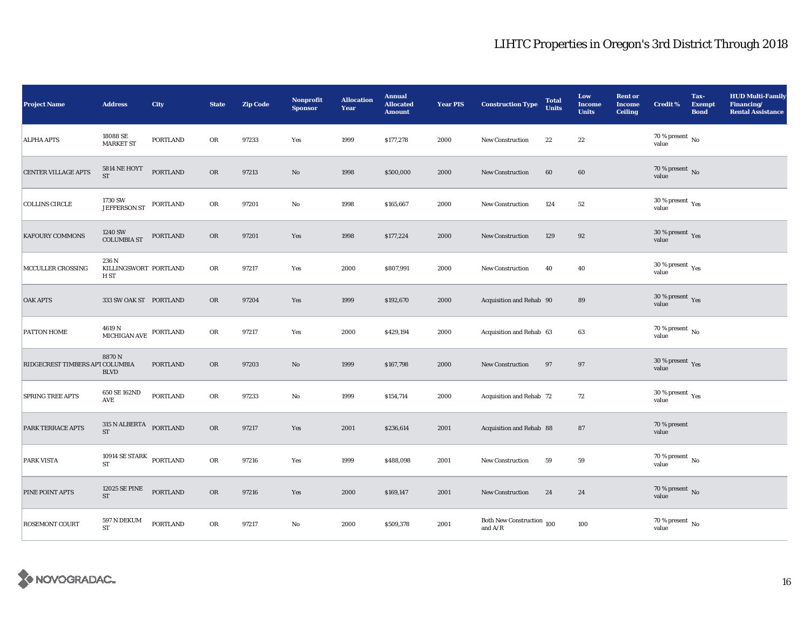| <b>Project Name</b>             | <b>Address</b>                              | <b>City</b>     | <b>State</b> | <b>Zip Code</b> | Nonprofit<br><b>Sponsor</b> | <b>Allocation</b><br>Year | <b>Annual</b><br><b>Allocated</b><br><b>Amount</b> | <b>Year PIS</b> | <b>Construction Type</b>                                 | <b>Total</b><br><b>Units</b> | Low<br><b>Income</b><br><b>Units</b> | <b>Rent or</b><br><b>Income</b><br><b>Ceiling</b> | <b>Credit %</b>                                | Tax-<br><b>Exempt</b><br><b>Bond</b> | <b>HUD Multi-Family</b><br>Financing/<br><b>Rental Assistance</b> |
|---------------------------------|---------------------------------------------|-----------------|--------------|-----------------|-----------------------------|---------------------------|----------------------------------------------------|-----------------|----------------------------------------------------------|------------------------------|--------------------------------------|---------------------------------------------------|------------------------------------------------|--------------------------------------|-------------------------------------------------------------------|
| <b>ALPHA APTS</b>               | 18088 SE<br><b>MARKET ST</b>                | PORTLAND        | OR           | 97233           | Yes                         | 1999                      | \$177,278                                          | 2000            | New Construction                                         | 22                           | $2\sqrt{2}$                          |                                                   | 70 % present $\,$ No $\,$<br>value             |                                      |                                                                   |
| <b>CENTER VILLAGE APTS</b>      | 5814 NE HOYT<br><b>ST</b>                   | <b>PORTLAND</b> | OR           | 97213           | No                          | 1998                      | \$500,000                                          | 2000            | New Construction                                         | 60                           | 60                                   |                                                   | 70 % present $\hbox{~No}$<br>value             |                                      |                                                                   |
| <b>COLLINS CIRCLE</b>           | 1730 SW<br>JEFFERSON ST PORTLAND            |                 | OR           | 97201           | No                          | 1998                      | \$165,667                                          | 2000            | <b>New Construction</b>                                  | 124                          | 52                                   |                                                   | 30 % present $\rm\,Yes$<br>value               |                                      |                                                                   |
| <b>KAFOURY COMMONS</b>          | 1240 SW<br><b>COLUMBIA ST</b>               | PORTLAND        | <b>OR</b>    | 97201           | Yes                         | 1998                      | \$177,224                                          | 2000            | <b>New Construction</b>                                  | 129                          | 92                                   |                                                   | $30\,\%$ present $\,$ Yes value                |                                      |                                                                   |
| MCCULLER CROSSING               | 236 N<br>KILLINGSWORT PORTLAND<br>H ST      |                 | OR           | 97217           | Yes                         | 2000                      | \$807,991                                          | 2000            | New Construction                                         | 40                           | 40                                   |                                                   | 30 % present $\rm\,Yes$<br>value               |                                      |                                                                   |
| <b>OAK APTS</b>                 | 333 SW OAK ST PORTLAND                      |                 | <b>OR</b>    | 97204           | Yes                         | 1999                      | \$192,670                                          | 2000            | Acquisition and Rehab 90                                 |                              | 89                                   |                                                   | 30 % present $\sqrt{\gamma_{\rm ES}}$<br>value |                                      |                                                                   |
| PATTON HOME                     | $4619$ N<br>MICHIGAN AVE $\,$ PORTLAND $\,$ |                 | OR           | 97217           | Yes                         | 2000                      | \$429,194                                          | 2000            | Acquisition and Rehab 63                                 |                              | 63                                   |                                                   | $70$ % present $\,$ No $\,$<br>value           |                                      |                                                                   |
| RIDGECREST TIMBERS APT COLUMBIA | 8870N<br><b>BLVD</b>                        | <b>PORTLAND</b> | <b>OR</b>    | 97203           | No                          | 1999                      | \$167,798                                          | 2000            | <b>New Construction</b>                                  | 97                           | 97                                   |                                                   | $30\,\%$ present $\,$ Yes value                |                                      |                                                                   |
| <b>SPRING TREE APTS</b>         | 650 SE 162ND<br>$\operatorname{AVE}$        | PORTLAND        | OR           | 97233           | No                          | 1999                      | \$154,714                                          | 2000            | Acquisition and Rehab 72                                 |                              | 72                                   |                                                   | 30 % present $\rm\,Yes$<br>value               |                                      |                                                                   |
| <b>PARK TERRACE APTS</b>        | 315 N ALBERTA<br><b>ST</b>                  | PORTLAND        | <b>OR</b>    | 97217           | Yes                         | 2001                      | \$236,614                                          | 2001            | Acquisition and Rehab 88                                 |                              | 87                                   |                                                   | 70 % present<br>value                          |                                      |                                                                   |
| <b>PARK VISTA</b>               | 10914 $\rm SE~STARK$ PORTLAND<br><b>ST</b>  |                 | OR           | 97216           | Yes                         | 1999                      | \$488,098                                          | 2001            | New Construction                                         | 59                           | 59                                   |                                                   | 70 % present $\,$ No $\,$<br>value             |                                      |                                                                   |
| PINE POINT APTS                 | 12025 SE PINE<br>${\rm ST}$                 | PORTLAND        | <b>OR</b>    | 97216           | Yes                         | 2000                      | \$169,147                                          | 2001            | New Construction                                         | 24                           | 24                                   |                                                   | 70 % present $\hbox{~No}$<br>value             |                                      |                                                                   |
| ROSEMONT COURT                  | $597$ N DEKUM<br><b>ST</b>                  | <b>PORTLAND</b> | OR           | 97217           | No                          | 2000                      | \$509,378                                          | 2001            | Both New Construction 100<br>and $\mathrm{A}/\mathrm{R}$ |                              | 100                                  |                                                   | $70$ % present $\,$ No value                   |                                      |                                                                   |

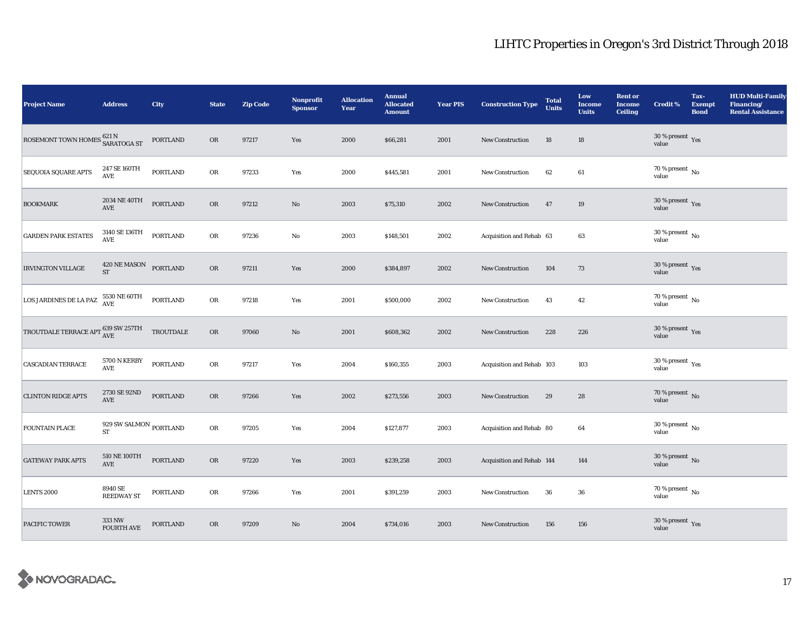| <b>Project Name</b>                                      | <b>Address</b>                               | <b>City</b>     | <b>State</b> | <b>Zip Code</b> | Nonprofit<br><b>Sponsor</b> | <b>Allocation</b><br>Year | <b>Annual</b><br><b>Allocated</b><br><b>Amount</b> | <b>Year PIS</b> | <b>Construction Type</b>  | <b>Total</b><br><b>Units</b> | Low<br><b>Income</b><br><b>Units</b> | <b>Rent or</b><br><b>Income</b><br><b>Ceiling</b> | <b>Credit %</b>                          | Tax-<br><b>Exempt</b><br><b>Bond</b> | <b>HUD Multi-Family</b><br>Financing/<br><b>Rental Assistance</b> |
|----------------------------------------------------------|----------------------------------------------|-----------------|--------------|-----------------|-----------------------------|---------------------------|----------------------------------------------------|-----------------|---------------------------|------------------------------|--------------------------------------|---------------------------------------------------|------------------------------------------|--------------------------------------|-------------------------------------------------------------------|
| ROSEMONT TOWN HOMES $^{621\, \rm N}_{\tt SARATOGA\, ST}$ |                                              | PORTLAND        | <b>OR</b>    | 97217           | Yes                         | 2000                      | \$66,281                                           | 2001            | New Construction          | 18                           | 18                                   |                                                   | $30$ % present $\,$ $\rm Yes$<br>value   |                                      |                                                                   |
| SEQUOIA SQUARE APTS                                      | 247 SE 160TH<br>AVE                          | PORTLAND        | OR           | 97233           | Yes                         | 2000                      | \$445,581                                          | 2001            | New Construction          | 62                           | 61                                   |                                                   | 70 % present $\,$ No $\,$<br>value       |                                      |                                                                   |
| <b>BOOKMARK</b>                                          | 2034 NE 40TH<br>$\operatorname{AVE}$         | PORTLAND        | OR           | 97212           | No                          | 2003                      | \$75,310                                           | 2002            | New Construction          | 47                           | 19                                   |                                                   | $30\,\%$ present $\,\mathrm{Yes}$ value  |                                      |                                                                   |
| <b>GARDEN PARK ESTATES</b>                               | 3140 SE 136TH<br>$\mathbf{AVE}$              | <b>PORTLAND</b> | OR           | 97236           | No                          | 2003                      | \$148,501                                          | 2002            | Acquisition and Rehab 63  |                              | 63                                   |                                                   | $30\,\%$ present $\,$ No value           |                                      |                                                                   |
| <b>IRVINGTON VILLAGE</b>                                 | 420 NE MASON PORTLAND<br><b>ST</b>           |                 | OR           | 97211           | Yes                         | 2000                      | \$384,897                                          | 2002            | <b>New Construction</b>   | 104                          | 73                                   |                                                   | $30\,\%$ present $\,$ Yes value          |                                      |                                                                   |
| LOS JARDINES DE LA PAZ                                   | $5530$ NE $60\mathrm{TH}$ AVE                | PORTLAND        | OR           | 97218           | Yes                         | 2001                      | \$500,000                                          | 2002            | New Construction          | 43                           | 42                                   |                                                   | 70 % present $\,$ No $\,$<br>value       |                                      |                                                                   |
| TROUTDALE TERRACE APT $^{639}_{\mbox{AVE}}$ SW 257TH     |                                              | TROUTDALE       | OR           | 97060           | No                          | 2001                      | \$608,362                                          | 2002            | <b>New Construction</b>   | 228                          | 226                                  |                                                   | $30\,\%$ present $\,\mathrm{Yes}$ value  |                                      |                                                                   |
| <b>CASCADIAN TERRACE</b>                                 | 5700 N KERBY<br>AVE                          | <b>PORTLAND</b> | OR           | 97217           | Yes                         | 2004                      | \$160,355                                          | 2003            | Acquisition and Rehab 103 |                              | 103                                  |                                                   | $30\ \%$ present $\ _{\mbox{Yes}}$ value |                                      |                                                                   |
| <b>CLINTON RIDGE APTS</b>                                | 2730 SE 92ND<br>$\operatorname{AVE}$         | PORTLAND        | OR           | 97266           | Yes                         | 2002                      | \$273,556                                          | 2003            | New Construction          | 29                           | 28                                   |                                                   | $70$ % present $\,$ No $\,$ value        |                                      |                                                                   |
| <b>FOUNTAIN PLACE</b>                                    | 929 SW SALMON $_{\rm PORTLAND}$<br><b>ST</b> |                 | OR           | 97205           | Yes                         | 2004                      | \$127,877                                          | 2003            | Acquisition and Rehab 80  |                              | 64                                   |                                                   | 30 % present $\,$ No $\,$<br>value       |                                      |                                                                   |
| <b>GATEWAY PARK APTS</b>                                 | 510 NE 100TH<br>AVE                          | PORTLAND        | OR           | 97220           | Yes                         | 2003                      | \$239,258                                          | 2003            | Acquisition and Rehab 144 |                              | 144                                  |                                                   | $30$ % present $\,$ No $\,$ value        |                                      |                                                                   |
| <b>LENTS 2000</b>                                        | 8940 SE<br><b>REEDWAY ST</b>                 | <b>PORTLAND</b> | OR           | 97266           | Yes                         | 2001                      | \$391,259                                          | 2003            | New Construction          | 36                           | ${\bf 36}$                           |                                                   | 70 % present $\,$ No $\,$<br>value       |                                      |                                                                   |
| PACIFIC TOWER                                            | 333 NW<br><b>FOURTH AVE</b>                  | PORTLAND        | OR           | 97209           | No                          | 2004                      | \$734,016                                          | 2003            | <b>New Construction</b>   | 156                          | 156                                  |                                                   | $30\,\%$ present $\,$ Yes value          |                                      |                                                                   |

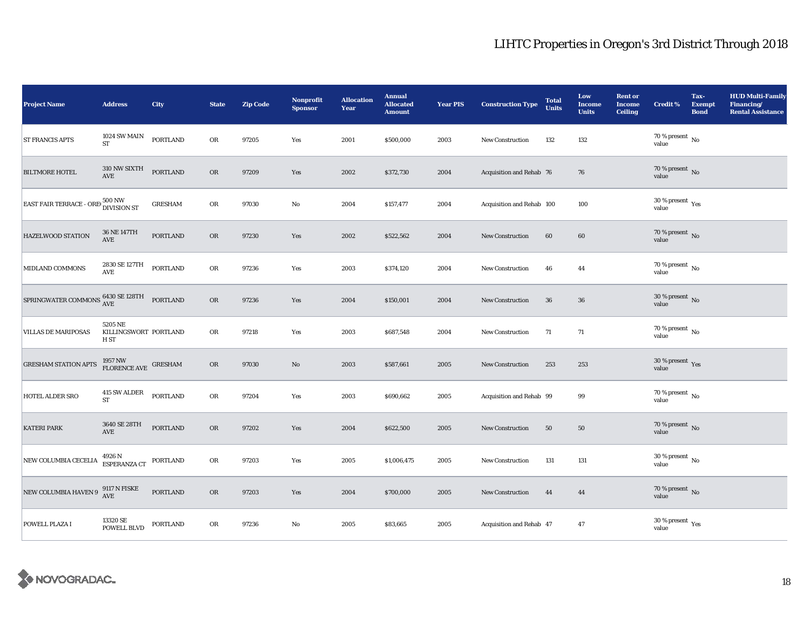| <b>Project Name</b>                                                                           | <b>Address</b>                                                    | City            | <b>State</b> | <b>Zip Code</b> | Nonprofit<br><b>Sponsor</b> | <b>Allocation</b><br>Year | <b>Annual</b><br><b>Allocated</b><br><b>Amount</b> | <b>Year PIS</b> | <b>Construction Type</b>  | <b>Total</b><br><b>Units</b> | Low<br><b>Income</b><br><b>Units</b> | <b>Rent or</b><br><b>Income</b><br><b>Ceiling</b> | <b>Credit %</b>                             | Tax-<br><b>Exempt</b><br><b>Bond</b> | <b>HUD Multi-Family</b><br>Financing/<br><b>Rental Assistance</b> |
|-----------------------------------------------------------------------------------------------|-------------------------------------------------------------------|-----------------|--------------|-----------------|-----------------------------|---------------------------|----------------------------------------------------|-----------------|---------------------------|------------------------------|--------------------------------------|---------------------------------------------------|---------------------------------------------|--------------------------------------|-------------------------------------------------------------------|
| <b>ST FRANCIS APTS</b>                                                                        | 1024 SW MAIN<br><b>ST</b>                                         | <b>PORTLAND</b> | OR           | 97205           | Yes                         | 2001                      | \$500,000                                          | 2003            | <b>New Construction</b>   | 132                          | 132                                  |                                                   | 70 % present $\,$ No $\,$<br>value          |                                      |                                                                   |
| <b>BILTMORE HOTEL</b>                                                                         | 310 NW SIXTH<br>AVE                                               | <b>PORTLAND</b> | <b>OR</b>    | 97209           | Yes                         | 2002                      | \$372,730                                          | 2004            | Acquisition and Rehab 76  |                              | 76                                   |                                                   | 70 % present $\,$ No $\,$<br>value          |                                      |                                                                   |
| EAST FAIR TERRACE - ORE 500 NW                                                                |                                                                   | <b>GRESHAM</b>  | OR           | 97030           | No                          | 2004                      | \$157,477                                          | 2004            | Acquisition and Rehab 100 |                              | 100                                  |                                                   | 30 % present $\rm\thinspace_{Yes}$<br>value |                                      |                                                                   |
| HAZELWOOD STATION                                                                             | 36 NE 147TH<br>AVE                                                | <b>PORTLAND</b> | OR           | 97230           | Yes                         | 2002                      | \$522,562                                          | 2004            | New Construction          | 60                           | 60                                   |                                                   | $70$ % present $\,$ No value                |                                      |                                                                   |
| MIDLAND COMMONS                                                                               | 2830 SE 127TH<br>AVE                                              | <b>PORTLAND</b> | OR           | 97236           | Yes                         | 2003                      | \$374,120                                          | 2004            | New Construction          | 46                           | 44                                   |                                                   | 70 % present $\,$ No $\,$<br>value          |                                      |                                                                   |
| SPRINGWATER COMMONS $^{6430}_{\Lambda\rm{VE}}$ SPRINGWATER COMMONS $^{6430}_{\Lambda\rm{VE}}$ |                                                                   | PORTLAND        | ${\sf OR}$   | 97236           | Yes                         | 2004                      | \$150,001                                          | 2004            | <b>New Construction</b>   | 36                           | 36                                   |                                                   | 30 % present $\,$ No $\,$<br>value          |                                      |                                                                   |
| VILLAS DE MARIPOSAS                                                                           | 5205 NE<br>KILLINGSWORT PORTLAND<br>H ST                          |                 | OR           | 97218           | Yes                         | 2003                      | \$687,548                                          | 2004            | New Construction          | 71                           | 71                                   |                                                   | $70$ % present $\,$ No $\,$<br>value        |                                      |                                                                   |
| <b>GRESHAM STATION APTS</b>                                                                   | $1957\,\mathrm{NW}$ $\textrm{G}$ RESHAM FLORENCE AVE $\,$ GRESHAM |                 | OR           | 97030           | No                          | 2003                      | \$587,661                                          | 2005            | <b>New Construction</b>   | 253                          | 253                                  |                                                   | 30 % present $\,$ Yes<br>value              |                                      |                                                                   |
| HOTEL ALDER SRO                                                                               | 415 SW ALDER<br>${\rm ST}$                                        | <b>PORTLAND</b> | OR           | 97204           | Yes                         | 2003                      | \$690,662                                          | 2005            | Acquisition and Rehab 99  |                              | 99                                   |                                                   | 70 % present $\,\,$ No $\,$<br>value        |                                      |                                                                   |
| <b>KATERI PARK</b>                                                                            | 3640 SE 28TH<br>AVE                                               | <b>PORTLAND</b> | <b>OR</b>    | 97202           | Yes                         | 2004                      | \$622,500                                          | 2005            | <b>New Construction</b>   | 50                           | 50                                   |                                                   | $70$ % present $\,$ No value                |                                      |                                                                   |
| NEW COLUMBIA CECELIA                                                                          | 4926 N<br>ESPERANZA CT                                            | PORTLAND        | OR           | 97203           | Yes                         | 2005                      | \$1,006,475                                        | 2005            | New Construction          | 131                          | 131                                  |                                                   | 30 % present $\,$ No $\,$<br>value          |                                      |                                                                   |
| NEW COLUMBIA HAVEN 9 $^{9117\;N}_{\Lambda V E}$ FISKE                                         |                                                                   | PORTLAND        | OR           | 97203           | Yes                         | 2004                      | \$700,000                                          | 2005            | New Construction          | 44                           | 44                                   |                                                   | 70 % present $\hbox{~No}$<br>value          |                                      |                                                                   |
| POWELL PLAZA I                                                                                | 13320 SE<br>POWELL BLVD                                           | PORTLAND        | OR           | 97236           | No                          | 2005                      | \$83,665                                           | 2005            | Acquisition and Rehab 47  |                              | 47                                   |                                                   | 30 % present $\rm\,Yes$<br>value            |                                      |                                                                   |